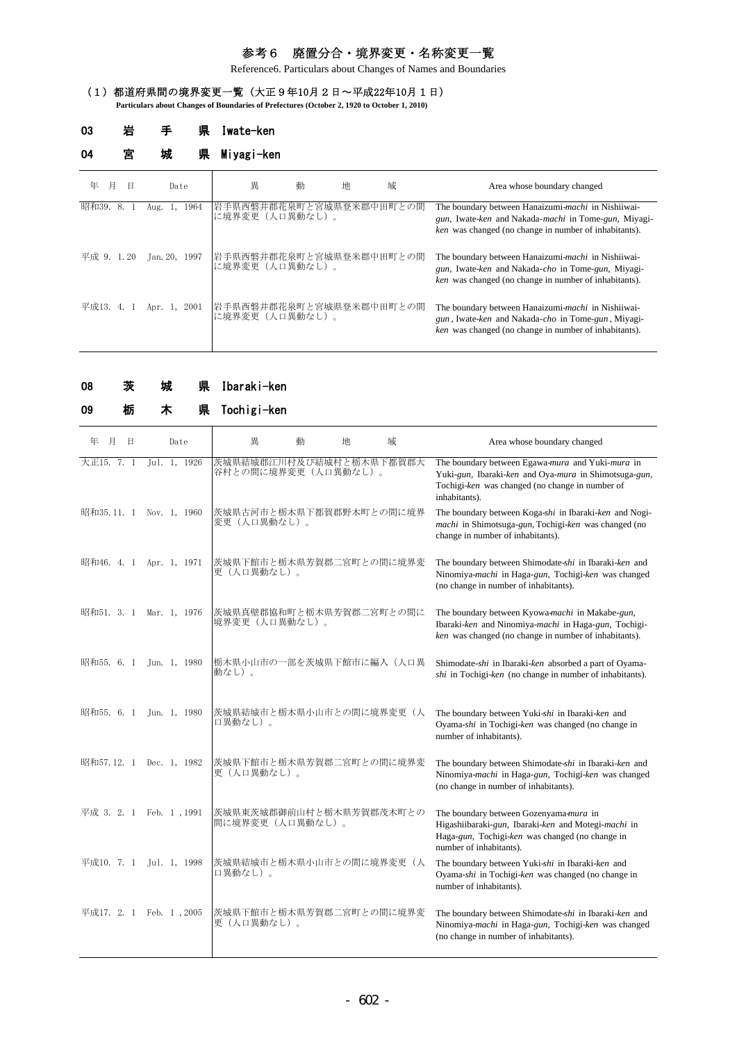# 参考6 廃置分合・境界変更・名称変更一覧

Reference6. Particulars about Changes of Names and Boundaries

## (1)都道府県間の境界変更一覧(大正9年10月2日~平成22年10月1日)

**Particulars about Changes of Boundaries of Prefectures (October 2, 1920 to October 1, 2010)**

| 03         | 岩  | 県                   | Iwate-ken                                 |   |   |   |                                                                                                                                                                     |
|------------|----|---------------------|-------------------------------------------|---|---|---|---------------------------------------------------------------------------------------------------------------------------------------------------------------------|
| 04         | 宮  | 城<br>県              | Miyagi-ken                                |   |   |   |                                                                                                                                                                     |
| 月<br>年     | Β  | Date                | 異                                         | 動 | 地 | 域 | Area whose boundary changed                                                                                                                                         |
| 昭和39.      | 8. | 1964<br>-1.<br>Aug. | 岩手県西磐井郡花泉町と宮城県登米郡中田町との間<br>に境界変更(人口異動なし)。 |   |   |   | The boundary between Hanaizumi-machi in Nishiiwai-<br>gun, Iwate-ken and Nakada-machi in Tome-gun, Miyagi-<br>ken was changed (no change in number of inhabitants). |
| 平成 9. 1.20 |    | Jan. 20, 1997       | 岩手県西磐井郡花泉町と宮城県登米郡中田町との間<br>に境界変更(人口異動なし)。 |   |   |   | The boundary between Hanaizumi-machi in Nishiiwai-<br>gun, Iwate-ken and Nakada-cho in Tome-gun, Miyagi-<br>ken was changed (no change in number of inhabitants).   |
| 平成13.4.    |    | Apr. 1,<br>2001     | 岩手県西磐井郡花泉町と宮城県登米郡中田町との間<br>に境界変更(人口異動なし)。 |   |   |   | The boundary between Hanaizumi-machi in Nishiiwai-<br>gun, Iwate-ken and Nakada-cho in Tome-gun, Miyagi-<br>ken was changed (no change in number of inhabitants).   |

|  | 08 | 茨 | 城 |  | 県 Ibaraki-ken |
|--|----|---|---|--|---------------|
|--|----|---|---|--|---------------|

| 09 |  | 県 Tochigi-ken |
|----|--|---------------|

| 月<br>年<br>Β             | Date         | 畢                                              | 動 | 地 | 域 | Area whose boundary changed                                                                                                                                                   |
|-------------------------|--------------|------------------------------------------------|---|---|---|-------------------------------------------------------------------------------------------------------------------------------------------------------------------------------|
| 大正15. 7. 1              | Jul. 1, 1926 | 茨城県結城郡江川村及び結城村と栃木県下都賀郡大<br>谷村との間に境界変更(人口異動なし)。 |   |   |   | The boundary between Egawa-mura and Yuki-mura in<br>Yuki-gun, Ibaraki-ken and Oya-mura in Shimotsuga-gun,<br>Tochigi-ken was changed (no change in number of<br>inhabitants). |
| 昭和35.11. 1 Nov. 1, 1960 |              | 茨城県古河市と栃木県下都賀郡野木町との間に境界<br>変更(人口異動なし)。         |   |   |   | The boundary between Koga-shi in Ibaraki-ken and Nogi-<br>machi in Shimotsuga-gun, Tochigi-ken was changed (no<br>change in number of inhabitants).                           |
| 昭和46. 4. 1 Apr. 1, 1971 |              | 茨城県下館市と栃木県芳賀郡二宮町との間に境界変<br>更(人口異動なし)。          |   |   |   | The boundary between Shimodate-shi in Ibaraki-ken and<br>Ninomiya-machi in Haga-gun, Tochigi-ken was changed<br>(no change in number of inhabitants).                         |
| 昭和51. 3. 1 Mar. 1, 1976 |              | 茨城県真壁郡協和町と栃木県芳賀郡二宮町との間に<br>境界変更(人口異動なし)。       |   |   |   | The boundary between Kyowa-machi in Makabe-gun,<br>Ibaraki-ken and Ninomiya-machi in Haga-gun, Tochigi-<br>ken was changed (no change in number of inhabitants).              |
| 昭和55.6.1                | Jun. 1, 1980 | 栃木県小山市の一部を茨城県下館市に編入(人口異<br>動なし)。               |   |   |   | Shimodate-shi in Ibaraki-ken absorbed a part of Oyama-<br>shi in Tochigi-ken (no change in number of inhabitants).                                                            |
| 昭和55. 6. 1              | Jun. 1, 1980 | 茨城県結城市と栃木県小山市との間に境界変更(人<br>口異動なし)。             |   |   |   | The boundary between Yuki-shi in Ibaraki-ken and<br>Oyama-shi in Tochigi-ken was changed (no change in<br>number of inhabitants).                                             |
| 昭和57.12. 1 Dec. 1, 1982 |              | 茨城県下館市と栃木県芳賀郡二宮町との間に境界変<br>更(人口異動なし)。          |   |   |   | The boundary between Shimodate-shi in Ibaraki-ken and<br>Ninomiya-machi in Haga-gun, Tochigi-ken was changed<br>(no change in number of inhabitants).                         |
| 平成 3. 2. 1 Feb. 1, 1991 |              | 茨城県東茨城郡御前山村と栃木県芳賀郡茂木町との<br>間に境界変更 (人口異動なし)。    |   |   |   | The boundary between Gozenyama-mura in<br>Higashiibaraki-gun, Ibaraki-ken and Motegi-machi in<br>Haga-gun, Tochigi-ken was changed (no change in<br>number of inhabitants).   |
| 平成10. 7. 1 Jul. 1, 1998 |              | 茨城県結城市と栃木県小山市との間に境界変更(人<br>口異動なし)。             |   |   |   | The boundary between Yuki-shi in Ibaraki-ken and<br>Oyama-shi in Tochigi-ken was changed (no change in<br>number of inhabitants).                                             |
| 平成17. 2. 1 Feb. 1, 2005 |              | 茨城県下館市と栃木県芳賀郡二宮町との間に境界変<br>更(人口異動なし)。          |   |   |   | The boundary between Shimodate-shi in Ibaraki-ken and<br>Ninomiya-machi in Haga-gun, Tochigi-ken was changed<br>(no change in number of inhabitants).                         |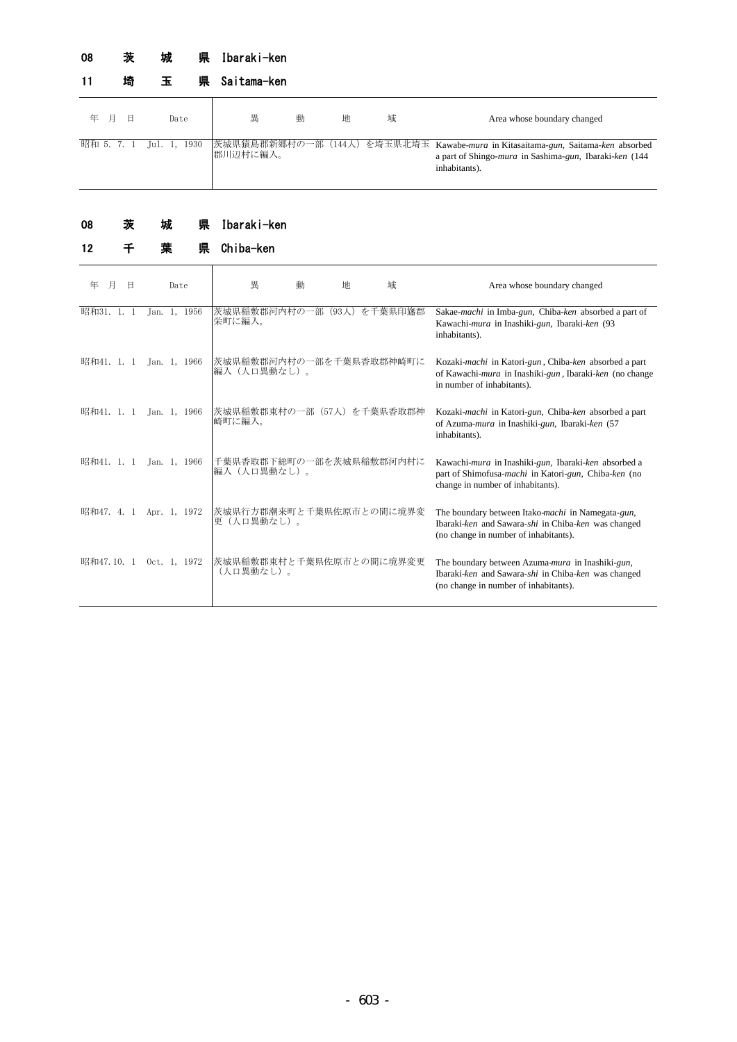# 08 茨 城 県 Ibaraki-ken

|     | 埼 | 県<br>Ŧ                  | Saitama-ken |   |   |   |                                                                                                                                                           |
|-----|---|-------------------------|-------------|---|---|---|-----------------------------------------------------------------------------------------------------------------------------------------------------------|
| 年 月 | Η | Date                    | 異           | 動 | 地 | 域 | Area whose boundary changed                                                                                                                               |
|     |   | 昭和 5. 7. 1 Jul. 1, 1930 | 郡川辺村に編入。    |   |   |   | 茨城県猿島郡新郷村の一部(144人)を埼玉県北埼玉 Kawabe-mura in Kitasaitama-gun, Saitama-ken absorbed<br>a part of Shingo-mura in Sashima-gun, Ibaraki-ken (144<br>inhabitants). |

### 県 Ibaraki-ken 08 茨 城

| 12         |   |      | 県            | Chiba-ken                              |   |               |                         |                                                                                                                                                        |
|------------|---|------|--------------|----------------------------------------|---|---------------|-------------------------|--------------------------------------------------------------------------------------------------------------------------------------------------------|
| 年<br>月     | Η | Date |              | 異                                      | 動 | 地             | 域                       | Area whose boundary changed                                                                                                                            |
| 昭和31. 1.   |   |      | Jan. 1, 1956 | 茨城県稲敷郡河内村の一部<br>栄町に編入。                 |   | $(93\lambda)$ | を千葉県印旛郡                 | Sakae-machi in Imba-gun, Chiba-ken absorbed a part of<br>Kawachi-mura in Inashiki-gun, Ibaraki-ken (93<br>inhabitants).                                |
| 昭和41. 1. 1 |   |      | Jan. 1, 1966 | 茨城県稲敷郡河内村の一部を千葉県香取郡神崎町に<br>編入(人口異動なし)。 |   |               |                         | Kozaki-machi in Katori-gun, Chiba-ken absorbed a part<br>of Kawachi- <i>mura</i> in Inashiki-gun, Ibaraki-ken (no change<br>in number of inhabitants). |
| 昭和41. 1. 1 |   |      | Jan. 1, 1966 | 茨城県稲敷郡東村の一部(57人)を千葉県香取郡神<br>崎町に編入。     |   |               |                         | Kozaki-machi in Katori-gun, Chiba-ken absorbed a part<br>of Azuma-mura in Inashiki-gun, Ibaraki-ken (57<br>inhabitants).                               |
| 昭和41. 1. 1 |   |      | Jan. 1, 1966 | 編入(人口異動なし)。                            |   |               | 千葉県香取郡下総町の一部を茨城県稲敷郡河内村に | Kawachi-mura in Inashiki-gun, Ibaraki-ken absorbed a<br>part of Shimofusa-machi in Katori-gun, Chiba-ken (no<br>change in number of inhabitants).      |
| 昭和47. 4. 1 |   |      | Apr. 1, 1972 | 茨城県行方郡潮来町と千葉県佐原市との間に境界変<br>更(人口異動なし)。  |   |               |                         | The boundary between Itako-machi in Namegata-gun,<br>Ibaraki-ken and Sawara-shi in Chiba-ken was changed<br>(no change in number of inhabitants).      |
| 昭和47.10.1  |   |      | Oct. 1, 1972 | 茨城県稲敷郡東村と千葉県佐原市との間に境界変更<br>(人口異動なし)。   |   |               |                         | The boundary between Azuma-mura in Inashiki-gun,<br>Ibaraki-ken and Sawara-shi in Chiba-ken was changed<br>(no change in number of inhabitants).       |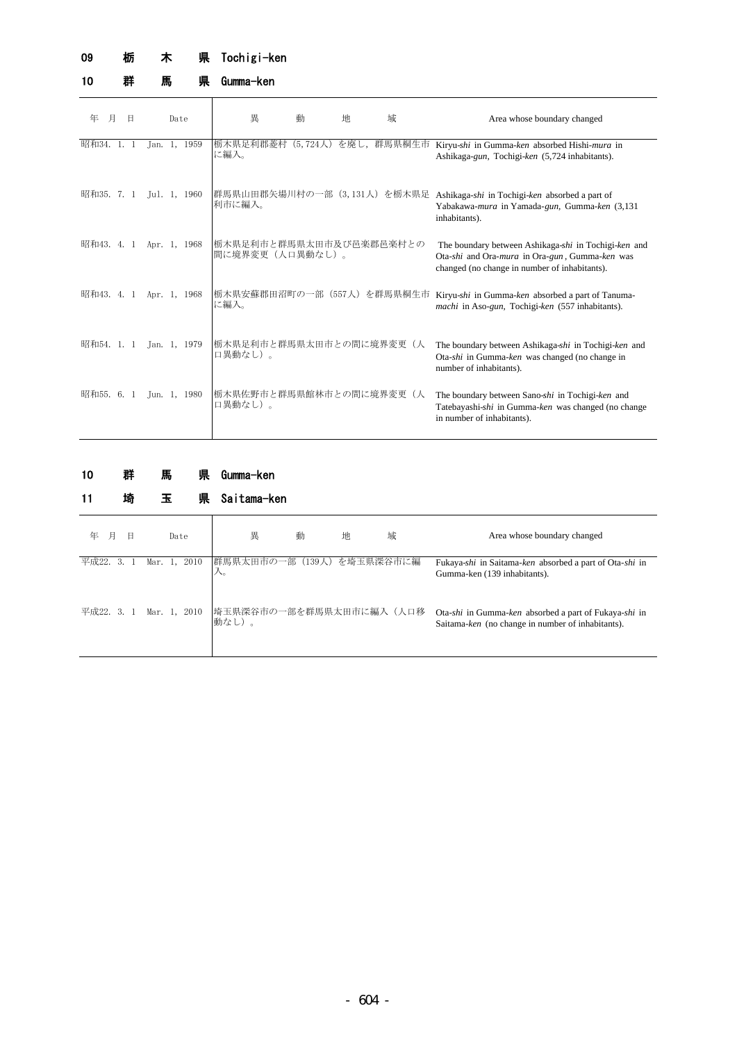### 県 Tochigi-ken 09 栃 木

10 群 馬 県

県 Gumma-ken

| 年<br>月     |      | Β | Date |              | 異                                           | 動                         | 地 | 域 | Area whose boundary changed                                                                                                                             |
|------------|------|---|------|--------------|---------------------------------------------|---------------------------|---|---|---------------------------------------------------------------------------------------------------------------------------------------------------------|
| 昭和34. 1. 1 |      |   |      | Jan. 1, 1959 | 栃木県足利郡菱村<br>に編入。                            | $(5, 724 \,\mathrm{\AA})$ |   |   | を廃し、群馬県桐生市 Kiryu-shi in Gumma-ken absorbed Hishi-mura in<br>Ashikaga-gun, Tochigi-ken (5,724 inhabitants).                                              |
| 昭和35. 7. 1 |      |   |      | Jul. 1, 1960 | 利市に編入。                                      |                           |   |   | 群馬県山田郡矢場川村の一部(3,131人)を栃木県足 Ashikaga-shi in Tochigi-ken absorbed a part of<br>Yabakawa-mura in Yamada-gun, Gumma-ken (3,131<br>inhabitants).             |
| 昭和43.4.1   |      |   |      | Apr. 1, 1968 | 栃木県足利市と群馬県太田市及び邑楽郡邑楽村との<br>間に境界変更 (人口異動なし)。 |                           |   |   | The boundary between Ashikaga-shi in Tochigi-ken and<br>Ota-shi and Ora-mura in Ora-gun, Gumma-ken was<br>changed (no change in number of inhabitants). |
| 昭和43.      | 4. 1 |   |      | Apr. 1, 1968 | 栃木県安蘇郡田沼町の一部(557人)を群馬県桐生市<br>に編入。           |                           |   |   | Kiryu-shi in Gumma-ken absorbed a part of Tanuma-<br>machi in Aso-gun, Tochigi-ken (557 inhabitants).                                                   |
| 昭和54. 1. 1 |      |   |      | Jan. 1, 1979 | 栃木県足利市と群馬県太田市との間に境界変更(人<br>口異動なし)。          |                           |   |   | The boundary between Ashikaga-shi in Tochigi-ken and<br>Ota-shi in Gumma-ken was changed (no change in<br>number of inhabitants).                       |
| 昭和55. 6. 1 |      |   |      | Jun. 1, 1980 | 栃木県佐野市と群馬県館林市との間に境界変更(人<br>口異動なし)。          |                           |   |   | The boundary between Sano-shi in Tochigi-ken and<br>Tatebayashi-shi in Gumma-ken was changed (no change<br>in number of inhabitants).                   |

### 県 Gumma-ken 県 Saitama-ken 10 群 馬 県 11 **協** 玉

| .<br>- m      | . .<br>лs       | vallama Noll                      |   |   |   |                                                                                                            |
|---------------|-----------------|-----------------------------------|---|---|---|------------------------------------------------------------------------------------------------------------|
| 月<br>年<br>日   | Date            | 異                                 | 動 | 地 | 域 | Area whose boundary changed                                                                                |
| 平成22.<br>3. 1 | 2010<br>Mar. 1, | 群馬県太田市の一部 (139人) を埼玉県深谷市に編<br>人。  |   |   |   | Fukaya-shi in Saitama-ken absorbed a part of Ota-shi in<br>Gumma-ken (139 inhabitants).                    |
| 平成22. 3. 1    | Mar. 1, 2010    | 埼玉県深谷市の一部を群馬県太田市に編入 (人口移<br>動なし)。 |   |   |   | Ota-shi in Gumma-ken absorbed a part of Fukaya-shi in<br>Saitama-ken (no change in number of inhabitants). |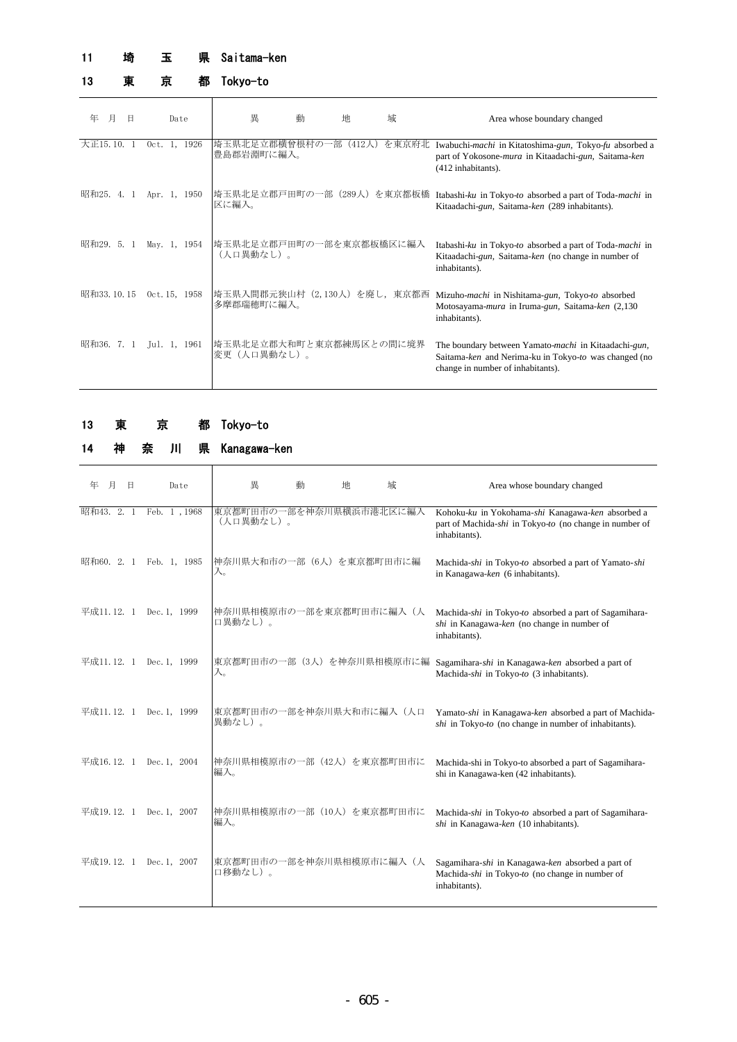### 県 Saitama-ken 11 埼 玉

13 東 京

都 Tokyo-to

## 年 月 日 Date | 異 動 地 域 Mea whose boundary changed 大正15.10. 1 Oct. 1, 1926 |埼玉県北足立郡横曾根村の一部 (412人) を東京府北 埼玉県北足立郡横曾根村の一部(412人)を東京府北 Iwabuchi*-machi* in Kitatoshima-*gun,* Tokyo*-fu* absorbed a<br>豊島郡岩淵町に編入。 part of Yokosone-*mura* in Kitaadachi-*gun,* Saitama-*ken* (412 inhabitants). 昭和25. 4. 1 Apr. 1, 1950 |埼玉県北足立郡戸田町の一部(289人)を東京都板橋 Itabashi*-ku* in Tokyo*-to* absorbed a part of Toda-*machi* in 区に編入。 Kitaadachi-*gun,* Saitama-*ken* (289 inhabitants). 昭和29. 5. 1 May. 1, 1954 埼玉県北足立郡戸田町の一部を東京都板橋区に編入 Itabashi-*ku* in Tokyo-*to* absorbed a part of Toda-*machi* in (人口異動なし)。 Kitaadachi-*gun,* Saitama-*ken* (no change in number of inhabitants). 昭和33.10.15 Oct.15,1958 |埼玉県入間郡元狭山村(2,130人)を廃し,東京都西 Mizuho*-machi* in Nishitama-*gun*, Tokyo*-to* absorbed 多摩郡瑞穂町に編入。 Motosayama-*mura* in Iruma-*gun,* Saitama-*ken* (2,130 inhabitants). 昭和36. 7. 1 Jul. 1, 1961 埼玉県北足立郡大和町と東京都練馬区との間に境界 。<br>変更(人口異動なし)。 The boundary between Yamato-*machi* in Kitaadachi-*gun,* Saitama-*ken* and Nerima-ku in Tokyo-*to* was changed (no change in number of inhabitants).

### 都 Tokyo-to 13 東 京

14 神 奈 川 県

| 年 月 日 |  | Date                                             | 異 | 動 | 地 | 域 |
|-------|--|--------------------------------------------------|---|---|---|---|
|       |  | 昭和43. 2. 1 Feb. 1,1968   東京都町田市の一部を神奈川県横浜市港北区に編入 |   |   |   |   |

Kanagawa-ken

|            | 昭和43. 2. 1 Feb. 1,1968 | 東京都町田市の一部を神奈川県横浜市港北区に編入<br>(人口異動なし)。 | Kohoku-ku in Yokohama-shi Kanagawa-ken absorbed a<br>part of Machida-shi in Tokyo-to (no change in number of<br>inhabitants). |
|------------|------------------------|--------------------------------------|-------------------------------------------------------------------------------------------------------------------------------|
| 昭和60. 2. 1 | Feb. 1, 1985           | 神奈川県大和市の一部(6人)を東京都町田市に編<br>入。        | Machida-shi in Tokyo-to absorbed a part of Yamato-shi<br>in Kanagawa-ken (6 inhabitants).                                     |
| 平成11.12. 1 | Dec. 1, 1999           | 神奈川県相模原市の一部を東京都町田市に編入(人<br>口異動なし)。   | Machida-shi in Tokyo-to absorbed a part of Sagamihara-<br>shi in Kanagawa-ken (no change in number of<br>inhabitants).        |
| 平成11.12. 1 | Dec. 1, 1999           | 東京都町田市の一部 (3人) を神奈川県相模原市に編<br>入。     | Sagamihara-shi in Kanagawa-ken absorbed a part of<br>Machida-shi in Tokyo-to (3 inhabitants).                                 |
| 平成11.12. 1 | Dec. 1, 1999           | 東京都町田市の一部を神奈川県大和市に編入(人口<br> 異動なし)。   | Yamato-shi in Kanagawa-ken absorbed a part of Machida-<br>$\delta h$ in Tokyo-to (no change in number of inhabitants).        |
| 平成16.12.1  | Dec. 1, 2004           | 神奈川県相模原市の一部 (42人) を東京都町田市に<br>編入。    | Machida-shi in Tokyo-to absorbed a part of Sagamihara-<br>shi in Kanagawa-ken (42 inhabitants).                               |
| 平成19.12. 1 | Dec. 1, 2007           | 神奈川県相模原市の一部 (10人) を東京都町田市に<br>編入。    | Machida-shi in Tokyo-to absorbed a part of Sagamihara-<br>shi in Kanagawa-ken (10 inhabitants).                               |
| 平成19.12. 1 | Dec. 1, 2007           | 東京都町田市の一部を神奈川県相模原市に編入(人<br>口移動なし)。   | Sagamihara-shi in Kanagawa-ken absorbed a part of<br>Machida-shi in Tokyo-to (no change in number of<br>inhabitants).         |

Area whose boundary changed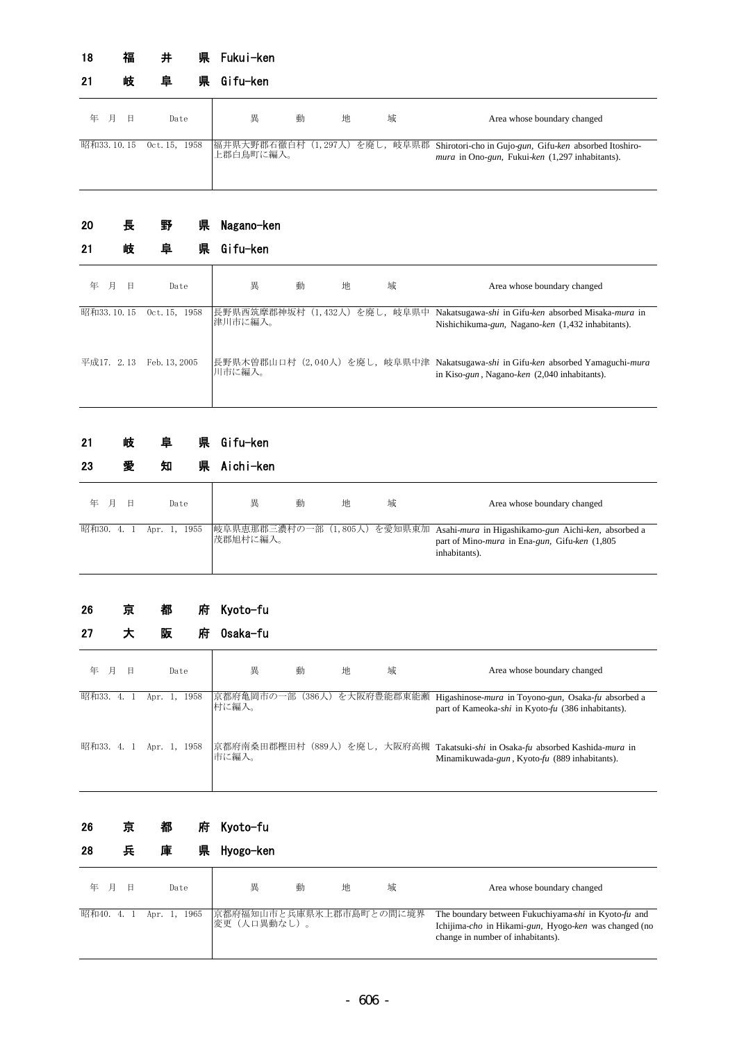### 県 Fukui-ken 18 福 井

| 21         | 岐 | 阜             | いんじょう 県の | Gifu—ken  |   |   |                                                                                                                                       |
|------------|---|---------------|----------|-----------|---|---|---------------------------------------------------------------------------------------------------------------------------------------|
| 年 月        | 日 | Date          |          | 異<br>動    | 地 | 域 | Area whose boundary changed                                                                                                           |
| 昭和33.10.15 |   | 0ct. 15, 1958 |          | 上郡白鳥町に編入。 |   |   | 福井県大野郡石徹白村(1,297人)を廃し, 岐阜県郡 Shirotori-cho in Gujo-gun, Gifu-ken absorbed Itoshiro-<br>mura in Ono-gun, Fukui-ken (1,297 inhabitants). |

### 県 Nagano-ken 20 長 野

| 21         |   | 岐 | 阜<br>県        | Gifu-ken                                                                                                                                                  |
|------------|---|---|---------------|-----------------------------------------------------------------------------------------------------------------------------------------------------------|
| 年          | 月 | 日 | Date          | 異<br>動<br>地<br>域<br>Area whose boundary changed                                                                                                           |
| 昭和33.10.15 |   |   | Oct. 15, 1958 | を廃し,岐阜県中<br>長野県西筑摩郡神坂村<br>(1, 432)<br>Nakatsugawa-shi in Gifu-ken absorbed Misaka-mura in<br>津川市に編入。<br>Nishichikuma-gun, Nagano-ken (1,432 inhabitants). |
| 平成17. 2.13 |   |   | Feb. 13, 2005 | 長野県木曽郡山口村 (2,040人) を廃し, 岐阜県中津 Nakatsugawa-shi in Gifu-ken absorbed Yamaguchi-mura<br>川市に編入。<br>in Kiso-gun, Nagano-ken (2,040 inhabitants).               |

#### 県 Gifu-ken 21 岐 阜

| 23         |   | 愛 | 知    | 県            | Aichi-ken |   |   |   |                                                                                                                                                             |
|------------|---|---|------|--------------|-----------|---|---|---|-------------------------------------------------------------------------------------------------------------------------------------------------------------|
| 年          | 月 | 日 | Date |              | 異         | 動 | 地 | 域 | Area whose boundary changed                                                                                                                                 |
| 昭和30. 4. 1 |   |   |      | Apr. 1, 1955 | 茂郡旭村に編入。  |   |   |   | 岐阜県恵那郡三濃村の一部 (1,805人) を愛知県東加 Asahi-mura in Higashikamo-gun Aichi-ken, absorbed a<br>part of Mino- <i>mura</i> in Ena-gun, Gifu-ken (1,805)<br>inhabitants). |

### 府 Kyoto-fu 26 京 都

| 27         |      |   | 阪            |      | 府    | 0saka-fu                            |   |   |   |                                                                                                                                  |
|------------|------|---|--------------|------|------|-------------------------------------|---|---|---|----------------------------------------------------------------------------------------------------------------------------------|
| 年          | 月    | 日 |              | Date |      | 異                                   | 動 | 地 | 域 | Area whose boundary changed                                                                                                      |
| 昭和33.      | 4. 1 |   | Apr. 1,      |      | 1958 | 京都府亀岡市の一部(386人)を大阪府豊能郡東能瀬 <br>村に編入。 |   |   |   | Higashinose- <i>mura</i> in Toyono-gun, Osaka-fu absorbed a<br>part of Kameoka-shi in Kyoto-fu (386 inhabitants).                |
| 昭和33. 4. 1 |      |   | Apr. 1, 1958 |      |      | 市に編入。                               |   |   |   | 京都府南桑田郡樫田村 (889人) を廃し, 大阪府高槻 Takatsuki-shi in Osaka-fu absorbed Kashida-mura in<br>Minamikuwada-gun, Kyoto-fu (889 inhabitants). |

### 府 Kyoto-fu 26 京 都

| 28 | 툣 | 庫 |  | 県 Hyogo-ken |  |
|----|---|---|--|-------------|--|
|----|---|---|--|-------------|--|

| 年 月 | Date                                            | 異           | 動 | 地 | 域 | Area whose boundary changed                                                                                                                        |
|-----|-------------------------------------------------|-------------|---|---|---|----------------------------------------------------------------------------------------------------------------------------------------------------|
|     | 昭和40. 4. 1 Apr. 1, 1965 京都府福知山市と兵庫県氷上郡市島町との間に境界 | 変更(人口異動なし)。 |   |   |   | The boundary between Fukuchiyama-shi in Kyoto-fu and<br>Ichijima-cho in Hikami-gun, Hyogo-ken was changed (no<br>change in number of inhabitants). |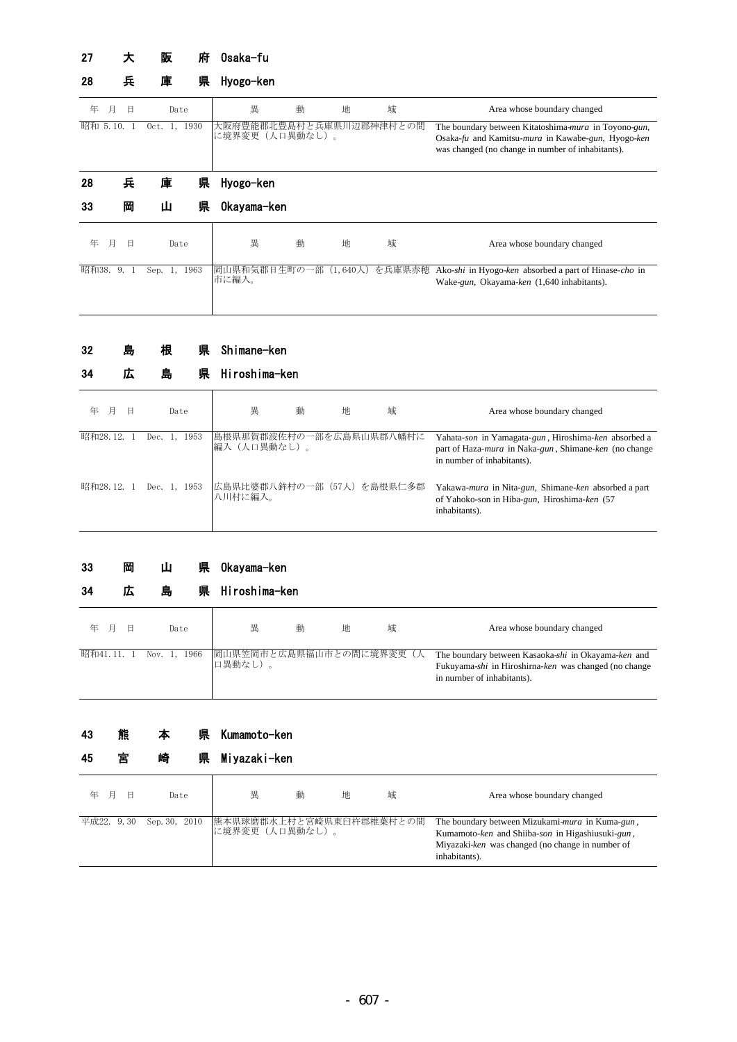### 府 0saka-fu 27 大 阪

### 県 Hyogo-ken 28 兵 庫 県

| 年        | 月 | Η  |            | Date | 異                                          | 動 | 地 | 域      | Area whose boundary changed                                                                                                                                     |
|----------|---|----|------------|------|--------------------------------------------|---|---|--------|-----------------------------------------------------------------------------------------------------------------------------------------------------------------|
| 昭和 5.10. |   |    | $0ct. 1$ , | 1930 | 大阪府豊能郡北豊島村と兵庫県川辺郡神津村との間<br>に境界変更 (人口異動なし)。 |   |   |        | The boundary between Kitatoshima-mura in Toyono-gun,<br>Osaka-fu and Kamitsu-mura in Kawabe-gun, Hyogo-ken<br>was changed (no change in number of inhabitants). |
| 28       |   | 兵  | 庫          | 県    | Hyogo-ken                                  |   |   |        |                                                                                                                                                                 |
| 33       |   | 岡  | Ш          | 県    | Okayama-ken                                |   |   |        |                                                                                                                                                                 |
| 年        | 月 | 日  |            | Date | 異                                          | 動 | 地 | 域      | Area whose boundary changed                                                                                                                                     |
| 昭和38.    |   | 9. | Sep. 1,    | 1963 | 岡山県和気郡日生町の一部 (1,640人)<br>市に編入。             |   |   | を兵庫県赤穂 | Ako-shi in Hyogo-ken absorbed a part of Hinase-cho in<br>Wake-gun, Okayama-ken (1,640 inhabitants).                                                             |

### 県 Shimane-ken 32 島 根

| 34        | 囚 | 島                 | 県 | Hiroshima-ken                           |   |   |                                                                                                                                                      |
|-----------|---|-------------------|---|-----------------------------------------|---|---|------------------------------------------------------------------------------------------------------------------------------------------------------|
| 年<br>月    | 日 | Date              |   | 異<br>動                                  | 地 | 域 | Area whose boundary changed                                                                                                                          |
| 昭和28.12.  |   | 1953<br>Dec. $1.$ |   | 島根県那賀郡波佐村の一部を広島県山県郡八幡村に<br> 編入(人口異動なし)。 |   |   | Yahata-son in Yamagata-gun, Hiroshirna-ken absorbed a<br>part of Haza- <i>mura</i> in Naka-gun, Shimane-ken (no change<br>in number of inhabitants). |
| 昭和28.12.1 |   | Dec. 1, 1953      |   | 広島県比婆郡八鉾村の一部(57人)を島根県仁多郡<br>八川村に編入。     |   |   | Yakawa-mura in Nita-gun, Shimane-ken absorbed a part<br>of Yahoko-son in Hiba-gun, Hiroshima-ken (57<br>inhabitants).                                |

| 岡<br>-33 | 県 0kayama-ken |
|----------|---------------|
|----------|---------------|

| 34        | 兦 | 島            | 県 Hiroshima-ken                    |   |   |   |                                                                                                                                            |
|-----------|---|--------------|------------------------------------|---|---|---|--------------------------------------------------------------------------------------------------------------------------------------------|
| 年 月       | 日 | Date         | 異                                  | 動 | 地 | 域 | Area whose boundary changed                                                                                                                |
| 昭和41.11.1 |   | Nov. 1, 1966 | 岡山県笠岡市と広島県福山市との間に境界変更(人<br>口異動なし)。 |   |   |   | The boundary between Kasaoka-shi in Okayama-ken and<br>Fukuyama-shi in Hiroshirna-ken was changed (no change<br>in number of inhabitants). |

| 43 | 熊 | 本 | 県 Kumamoto-ken |
|----|---|---|----------------|
|    |   |   |                |

| 45 | 宮          | 崎<br>県        | Miyazaki-ken                               |   |   |   |                                                                                                                                                                          |
|----|------------|---------------|--------------------------------------------|---|---|---|--------------------------------------------------------------------------------------------------------------------------------------------------------------------------|
| 年  | 日<br>月     | Date          | 異                                          | 動 | 地 | 域 | Area whose boundary changed                                                                                                                                              |
|    | 平成22. 9.30 | Sep. 30, 2010 | 熊本県球磨郡水上村と宮崎県東臼杵郡椎葉村との間<br>に境界変更 (人口異動なし)。 |   |   |   | The boundary between Mizukami-mura in Kuma-gun,<br>Kumamoto-ken and Shiiba-son in Higashiusuki-gun,<br>Miyazaki-ken was changed (no change in number of<br>inhabitants). |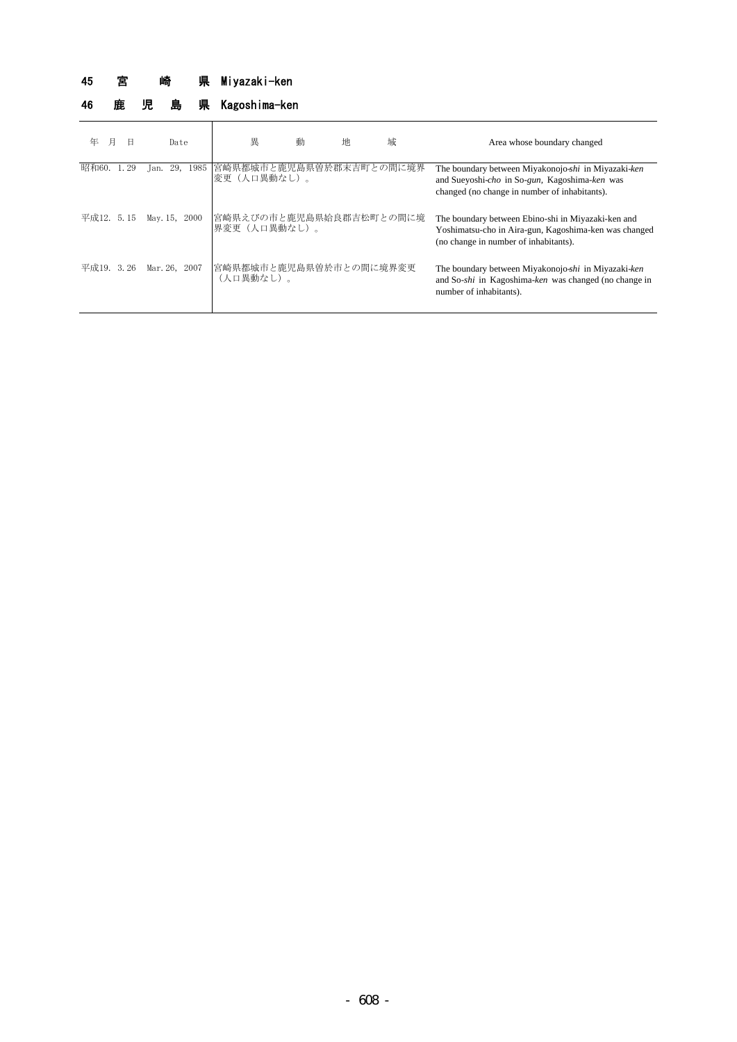### 県 Miyazaki-ken 45 宮 崎

# 46 鹿 児 島 県 Kagoshima-ken

| 月<br>年     | Β    | Date          | 異                                                | 動 | 地 | 域 | Area whose boundary changed                                                                                                                           |
|------------|------|---------------|--------------------------------------------------|---|---|---|-------------------------------------------------------------------------------------------------------------------------------------------------------|
| 昭和60.      | . 29 | Jan.          | 29, 1985  宮崎県都城市と鹿児島県曽於郡末吉町との間に境界<br>変更(人口異動なし)。 |   |   |   | The boundary between Miyakonojo-shi in Miyazaki-ken<br>and Sueyoshi-cho in So-gun, Kagoshima-ken was<br>changed (no change in number of inhabitants). |
| 平成12. 5.15 |      | May. 15, 2000 | 宮崎県えびの市と鹿児島県姶良郡吉松町との間に境<br>界変更(人口異動なし)。          |   |   |   | The boundary between Ebino-shi in Miyazaki-ken and<br>Yoshimatsu-cho in Aira-gun, Kagoshima-ken was changed<br>(no change in number of inhabitants).  |
| 平成19. 3.26 |      | Mar. 26, 2007 | 宮崎県都城市と鹿児島県曽於市との間に境界変更<br>(人口異動なし)。              |   |   |   | The boundary between Miyakonojo-shi in Miyazaki-ken<br>and So-shi in Kagoshima-ken was changed (no change in<br>number of inhabitants).               |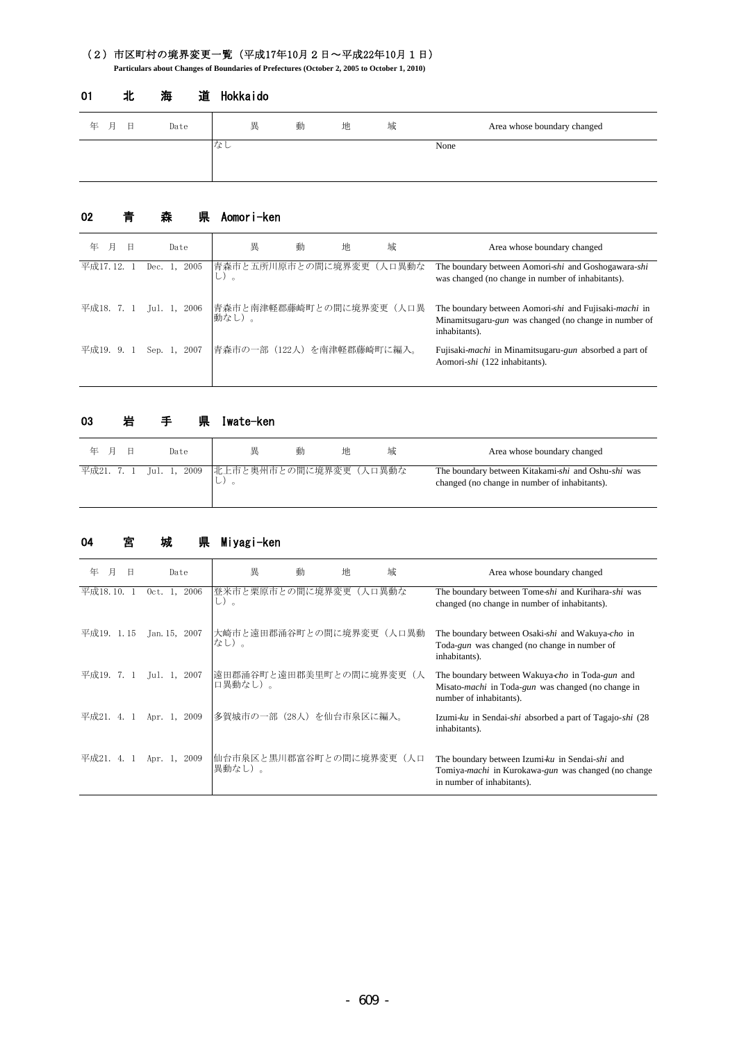## (2)市区町村の境界変更一覧(平成17年10月2日~平成22年10月1日)

**Particulars about Changes of Boundaries of Prefectures (October 2, 2005 to October 1, 2010)**

| 年 月<br>日 | Date | 異  | 動 | 地 | 域 | Area whose boundary changed |
|----------|------|----|---|---|---|-----------------------------|
|          |      | なし |   |   |   | None                        |

### 道 Hokkaido 01 北 海

#### 県 Aomori-ken 02 青 森

| 年<br>月<br>Θ | Date               | 異                                | 動 | 地 | 域 | Area whose boundary changed                                                                                                     |
|-------------|--------------------|----------------------------------|---|---|---|---------------------------------------------------------------------------------------------------------------------------------|
| 平成17.12.    | 2005<br>Dec. $1$ . | 青森市と五所川原市との間に境界変更(人口異動な<br>し)。   |   |   |   | The boundary between Aomori-shi and Goshogawara-shi<br>was changed (no change in number of inhabitants).                        |
| 平成18. 7. 1  | Jul. 1, 2006       | 青森市と南津軽郡藤崎町との間に境界変更(人口異<br>動なし)。 |   |   |   | The boundary between Aomori-shi and Fujisaki-machi in<br>Minamitsugaru-gun was changed (no change in number of<br>inhabitants). |
| 平成19. 9.    | Sep. $1$ .<br>2007 | 青森市の一部(122人)を南津軽郡藤崎町に編入。         |   |   |   | Fujisaki- <i>machi</i> in Minamitsugaru-gun absorbed a part of<br>Aomori-shi (122 inhabitants).                                 |

### 県 Iwate-ken 年 月 日 Date | 異 動 地 域 Maca whose boundary changed 平成21. 7. 1 Jul. 1, 2009 | 北上市と奥州市との間に境界変更 (人口異動な し)。 The boundary between Kitakami-*shi* and Oshu-*shi* was changed (no change in number of inhabitants). 03 岩 手

#### 県 Miyagi-ken 04 宮 城

| 年<br>月<br>B | Date            | 異                                  | 動<br>地 | 域      | Area whose boundary changed                                                                                                                      |
|-------------|-----------------|------------------------------------|--------|--------|--------------------------------------------------------------------------------------------------------------------------------------------------|
| 平成18.10.    | 2006<br>0ct.    | 登米市と栗原市との間に境界変更<br>し)。             |        | (人口異動な | The boundary between Tome-shi and Kurihara-shi was<br>changed (no change in number of inhabitants).                                              |
| 平成19. 1.15  | Jan. 15, 2007   | 大崎市と遠田郡涌谷町との間に境界変更(人口異動<br>なし)。    |        |        | The boundary between Osaki-shi and Wakuya-cho in<br>Toda-gun was changed (no change in number of<br>inhabitants).                                |
| 平成19. 7.    | 2007<br>Jul. 1, | 遠田郡涌谷町と遠田郡美里町との間に境界変更(人<br>口異動なし)。 |        |        | The boundary between Wakuya-cho in Toda-gun and<br>Misato- <i>machi</i> in Toda- <i>gun</i> was changed (no change in<br>number of inhabitants). |
| 平成21.       | 2009<br>Apr. 1. | 多賀城市の一部 (28人) を仙台市泉区に編入。           |        |        | Izumi-ku in Sendai-shi absorbed a part of Tagajo-shi (28)<br>inhabitants).                                                                       |
| 平成21.<br>4. | 2009<br>Apr. 1, | 仙台市泉区と黒川郡富谷町との間に境界変更(人口<br>異動なし)。  |        |        | The boundary between Izumi-ku in Sendai-shi and<br>Tomiya-machi in Kurokawa-gun was changed (no change<br>in number of inhabitants).             |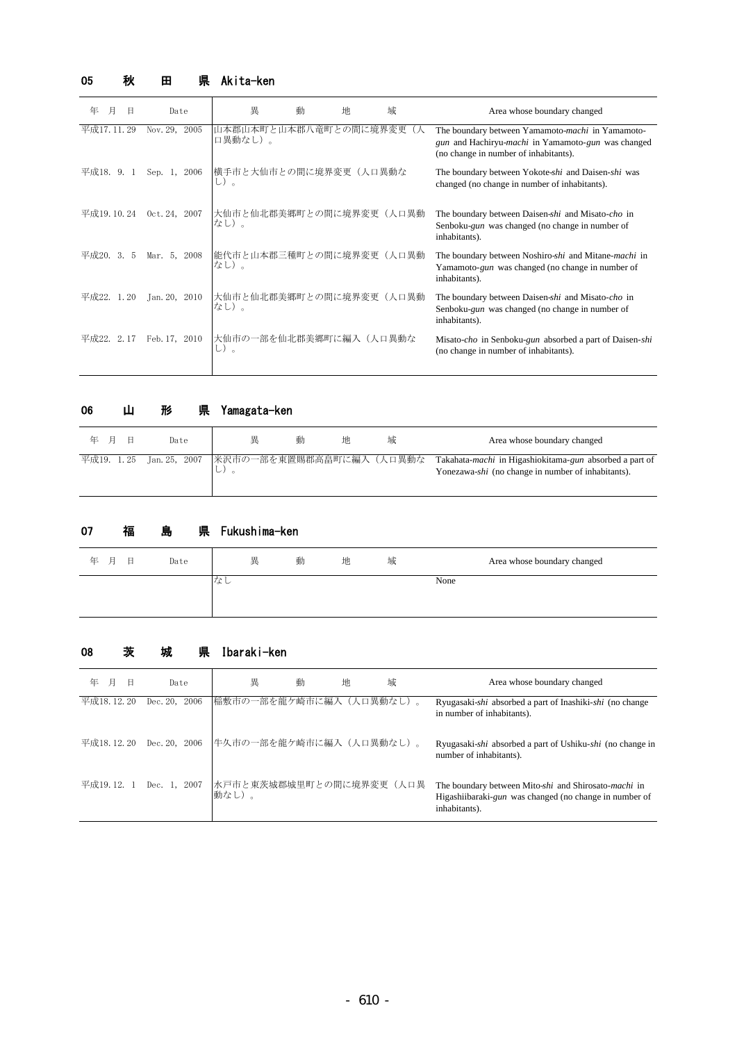## 05 秋 田 県 Akita-ken

| 年<br>月     | Η    | Date          | 異                                | 動<br>地 | 域     | Area whose boundary changed                                                                                                                     |
|------------|------|---------------|----------------------------------|--------|-------|-------------------------------------------------------------------------------------------------------------------------------------------------|
| 平成17.11.29 |      | Nov. 29, 2005 | 山本郡山本町と山本郡八竜町との間に境界変更<br>口異動なし)。 |        |       | The boundary between Yamamoto-machi in Yamamoto-<br>gun and Hachiryu-machi in Yamamoto-gun was changed<br>(no change in number of inhabitants). |
| 平成18. 9.   |      | Sep. 1, 2006  | 横手市と大仙市との間に境界変更(人口異動な<br>し)。     |        |       | The boundary between Yokote-shi and Daisen-shi was<br>changed (no change in number of inhabitants).                                             |
| 平成19.10.24 |      | Oct. 24, 2007 | 大仙市と仙北郡美郷町との間に境界変更(人口異動<br>なし)。  |        |       | The boundary between Daisen-shi and Misato-cho in<br>Senboku-gun was changed (no change in number of<br>inhabitants).                           |
| 平成20.      | 3. 5 | Mar. 5, 2008  | 能代市と山本郡三種町との間に境界変更(人口異動<br>なし)。  |        |       | The boundary between Noshiro-shi and Mitane-machi in<br>Yamamoto-gun was changed (no change in number of<br>inhabitants).                       |
| 平成22.      | 1.20 | Jan. 20, 2010 | 大仙市と仙北郡美郷町との間に境界変更<br>なし)。       |        | (人口異動 | The boundary between Daisen-shi and Misato-cho in<br>Senboku-gun was changed (no change in number of<br>inhabitants).                           |
| 平成22.      | 2.17 | Feb. 17, 2010 | 大仙市の一部を仙北郡美郷町に編入(人口異動な<br>し)。    |        |       | Misato-cho in Senboku-gun absorbed a part of Daisen-shi<br>(no change in number of inhabitants).                                                |

## 06 山 形 県 Yamagata-ken

| - 6<br>年 月 | Date                                             | 畢   | 動 | 地 | 域 | Area whose boundary changed                                                                                   |
|------------|--------------------------------------------------|-----|---|---|---|---------------------------------------------------------------------------------------------------------------|
|            | 平成19. 1.25 Jan.25, 2007  米沢市の一部を東置賜郡高畠町に編入(人口異動な | レノー |   |   |   | Takahata-machi in Higashiokitama-gun absorbed a part of<br>Yonezawa-shi (no change in number of inhabitants). |

#### 県 Fukushima-ken 07 福 島

| 年<br>日<br>一月 | Date | 異  | 動 | 地 | 域 | Area whose boundary changed |
|--------------|------|----|---|---|---|-----------------------------|
|              |      | ほし |   |   |   | None                        |

## 08 茨 城 県 Ibaraki-ken

| 月<br>年<br>日 | Date             | 異                                | 動 | 地 | 域 | Area whose boundary changed                                                                                                     |
|-------------|------------------|----------------------------------|---|---|---|---------------------------------------------------------------------------------------------------------------------------------|
| 平成18.12.20  | Dec. 20.<br>2006 | 稲敷市の一部を龍ケ崎市に編入(人口異動なし)。          |   |   |   | Ryugasaki-shi absorbed a part of Inashiki-shi (no change<br>in number of inhabitants).                                          |
| 平成18.12.20  | Dec. 20. 2006    | 牛久市の一部を龍ケ崎市に編入(人口異動なし)。          |   |   |   | Ryugasaki-shi absorbed a part of Ushiku-shi (no change in<br>number of inhabitants).                                            |
| 平成19.12. 1  | Dec. 1, 2007     | 水戸市と東茨城郡城里町との間に境界変更(人口異<br>動なし)。 |   |   |   | The boundary between Mito-shi and Shirosato-machi in<br>Higashiibaraki-gun was changed (no change in number of<br>inhabitants). |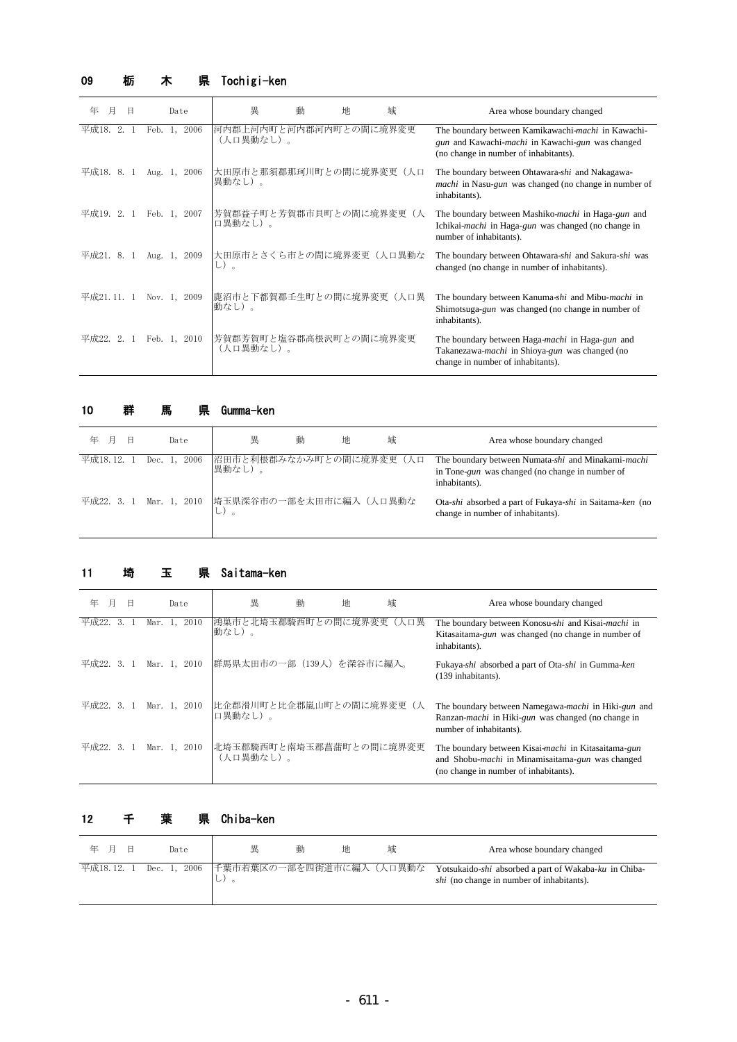## 09 栃 木 県 Tochigi-ken

| 年<br>月<br>B | Date            | 異                                   | 動<br>地 | 城          | Area whose boundary changed                                                                                                                     |
|-------------|-----------------|-------------------------------------|--------|------------|-------------------------------------------------------------------------------------------------------------------------------------------------|
| 平成18. 2.    | 2006<br>Feb. 1, | 河内郡上河内町と河内郡河内町との間に境界変更<br>(人口異動なし)。 |        |            | The boundary between Kamikawachi-machi in Kawachi-<br>gun and Kawachi-machi in Kawachi-gun was changed<br>(no change in number of inhabitants). |
| 平成18.8.1    | Aug. 1, 2006    | 大田原市と那須郡那珂川町との間に境界変更(人口<br>異動なし)。   |        |            | The boundary between Ohtawara-shi and Nakagawa-<br><i>machi</i> in Nasu- <i>gun</i> was changed (no change in number of<br>inhabitants).        |
| 平成19. 2. 1  | Feb. 1, 2007    | 芳賀郡益子町と芳賀郡市貝町との間に境界変更<br>口異動なし)。    |        | $(\lambda$ | The boundary between Mashiko-machi in Haga-gun and<br>Ichikai-machi in Haga-gun was changed (no change in<br>number of inhabitants).            |
| 平成21.8.1    | Aug. 1, 2009    | 大田原市とさくら市との間に境界変更(人口異動な<br>し)。      |        |            | The boundary between Ohtawara-shi and Sakura-shi was<br>changed (no change in number of inhabitants).                                           |
| 平成21.11.1   | Nov. 1, 2009    | 鹿沼市と下都賀郡壬生町との間に境界変更  <br>動なし)。      |        | (人口里       | The boundary between Kanuma-shi and Mibu-machi in<br>Shimotsuga-gun was changed (no change in number of<br>inhabitants).                        |
| 平成22. 2. 1  | Feb. 1, 2010    | 芳賀郡芳賀町と塩谷郡高根沢町との間に境界変更<br>(人口異動なし)。 |        |            | The boundary between Haga-machi in Haga-gun and<br>Takanezawa- <i>machi</i> in Shioya-gun was changed (no<br>change in number of inhabitants).  |

#### 県 Gumma-ken 10 群 馬 県

| 年<br>月<br>日 | Date                                            | 異                                 | 動 | 地 | 域 | Area whose boundary changed                                                                                            |
|-------------|-------------------------------------------------|-----------------------------------|---|---|---|------------------------------------------------------------------------------------------------------------------------|
| 平成18.12.    | Dec. 1, 2006                                    | 沼田市と利根郡みなかみ町との間に境界変更(人口<br>異動なし)。 |   |   |   | The boundary between Numata-shi and Minakami-machi<br>in Tone-gun was changed (no change in number of<br>inhabitants). |
|             | 平成22. 3. 1 Mar. 1, 2010 埼玉県深谷市の一部を太田市に編入 (人口異動な |                                   |   |   |   | Ota-shi absorbed a part of Fukaya-shi in Saitama-ken (no<br>change in number of inhabitants).                          |

#### 県 Saitama-ken 11 埼 玉

| 年          |    | Β |         | Date         | 異                                    | 動 | 地 | 域    | Area whose boundary changed                                                                                                                              |
|------------|----|---|---------|--------------|--------------------------------------|---|---|------|----------------------------------------------------------------------------------------------------------------------------------------------------------|
| 平成22.      | 3. |   | Mar. 1. | 2010         | 鴻巣市と北埼玉郡騎西町との間に境界変更<br>動なし)。         |   |   | (人口異 | The boundary between Konosu-shi and Kisai-machi in<br>Kitasaitama-gun was changed (no change in number of<br>inhabitants).                               |
| 平成22. 3. 1 |    |   |         | Mar. 1, 2010 | 群馬県太田市の一部(139人)を深谷市に編入。              |   |   |      | Fukaya-shi absorbed a part of Ota-shi in Gumma-ken<br>(139 inhabitants).                                                                                 |
| 平成22. 3. 1 |    |   |         | Mar. 1, 2010 | 比企郡滑川町と比企郡嵐山町との間に境界変更(人<br>口異動なし)。   |   |   |      | The boundary between Namegawa-machi in Hiki-gun and<br>Ranzan- <i>machi</i> in Hiki-gun was changed (no change in<br>number of inhabitants).             |
| 平成22. 3. 1 |    |   |         | Mar. 1, 2010 | 北埼玉郡騎西町と南埼玉郡菖蒲町との間に境界変更<br>(人口異動なし)。 |   |   |      | The boundary between Kisai-machi in Kitasaitama-gun<br>and Shobu- <i>machi</i> in Minamisaitama-gun was changed<br>(no change in number of inhabitants). |

### 12 千 葉 県 Chiba-ken

| 年日 |  | Date | 畢                                                       | 動 | 地 | 域 | Area whose boundary changed                                                                               |
|----|--|------|---------------------------------------------------------|---|---|---|-----------------------------------------------------------------------------------------------------------|
|    |  |      | 平成18.12. 1 Dec. 1, 2006 下葉市若葉区の一部を四街道市に編入(人口異動な<br>レノ 。 |   |   |   | Yotsukaido-shi absorbed a part of Wakaba-ku in Chiba-<br><i>shi</i> (no change in number of inhabitants). |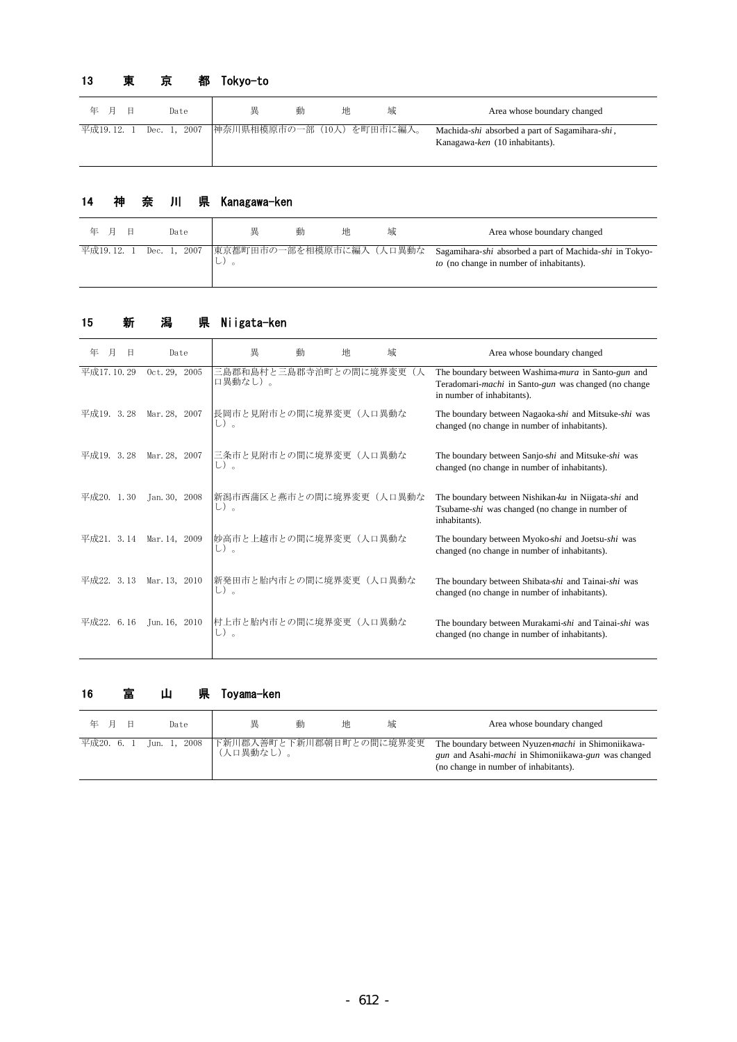# 13 東 京 都 Tokyo-to

| Η<br>年 月 | Date | 異 | 動 | 地 | 域                                                  | Area whose boundary changed                                                      |
|----------|------|---|---|---|----------------------------------------------------|----------------------------------------------------------------------------------|
|          |      |   |   |   | 平成19.12. 1 Dec. 1, 2007 神奈川県相模原市の一部 (10人) を町田市に編入。 | Machida-shi absorbed a part of Sagamihara-shi,<br>Kanagawa-ken (10 inhabitants). |

## 14 神 奈 川 県 Kanagawa-ken

| 年 月 |  | Date | 畢    | 動 | 地 | 域 | Area whose boundary changed                                                                                                                         |
|-----|--|------|------|---|---|---|-----------------------------------------------------------------------------------------------------------------------------------------------------|
|     |  |      | レノ 。 |   |   |   | 平成19.12. 1 Dec. 1, 2007 東京都町田市の一部を相模原市に編入(人口異動な Sagamihara-shi absorbed a part of Machida-shi in Tokyo-<br>to (no change in number of inhabitants). |

# 15 新 潟 県 Niigata-ken

| 年             | Date          | 異                                | 動 | 地 | 域   | Area whose boundary changed                                                                                                              |
|---------------|---------------|----------------------------------|---|---|-----|------------------------------------------------------------------------------------------------------------------------------------------|
| 平成17.10.29    | Oct. 29, 2005 | 三島郡和島村と三島郡寺泊町との間に境界変更<br>口異動なし)。 |   |   | ( Д | The boundary between Washima-mura in Santo-gun and<br>Teradomari-machi in Santo-gun was changed (no change<br>in number of inhabitants). |
| 平成19. 3.28    | Mar. 28, 2007 | 長岡市と見附市との間に境界変更(人口異動な<br>し)。     |   |   |     | The boundary between Nagaoka-shi and Mitsuke-shi was<br>changed (no change in number of inhabitants).                                    |
| 平成19. 3.28    | Mar. 28, 2007 | 三条市と見附市との間に境界変更(人口異動な<br>し)。     |   |   |     | The boundary between Sanjo-shi and Mitsuke-shi was<br>changed (no change in number of inhabitants).                                      |
| 1.30<br>平成20. | Jan. 30, 2008 | 新潟市西蒲区と燕市との間に境界変更(人口異動な<br>し)。   |   |   |     | The boundary between Nishikan-ku in Niigata-shi and<br>Tsubame-shi was changed (no change in number of<br>inhabitants).                  |
| 平成21. 3.14    | Mar. 14, 2009 | 妙高市と上越市との間に境界変更(人口異動な<br>し)。     |   |   |     | The boundary between Myoko-shi and Joetsu-shi was<br>changed (no change in number of inhabitants).                                       |
| 3.13<br>平成22. | Mar. 13, 2010 | 新発田市と胎内市との間に境界変更(人口異動な<br>し)。    |   |   |     | The boundary between Shibata-shi and Tainai-shi was<br>changed (no change in number of inhabitants).                                     |
| 平成22.<br>6.16 | Jun. 16, 2010 | 村上市と胎内市との間に境界変更(人口異動な<br>し)。     |   |   |     | The boundary between Murakami-shi and Tainai-shi was<br>changed (no change in number of inhabitants).                                    |

## 16 富 山 県 Toyama-ken

| 年 月 | Date | 里                                                            | 動 | 地 | 域 | Area whose boundary changed                                                                                                                                               |
|-----|------|--------------------------------------------------------------|---|---|---|---------------------------------------------------------------------------------------------------------------------------------------------------------------------------|
|     |      | 平成20. 6. 1 Jun. 1, 2008 下新川郡入善町と下新川郡朝日町との間に境界変更<br>(人口異動なし)。 |   |   |   | The boundary between Nyuzen-machi in Shimoniikawa-<br><i>gun</i> and Asahi- <i>machi</i> in Shimoniikawa- <i>gun</i> was changed<br>(no change in number of inhabitants). |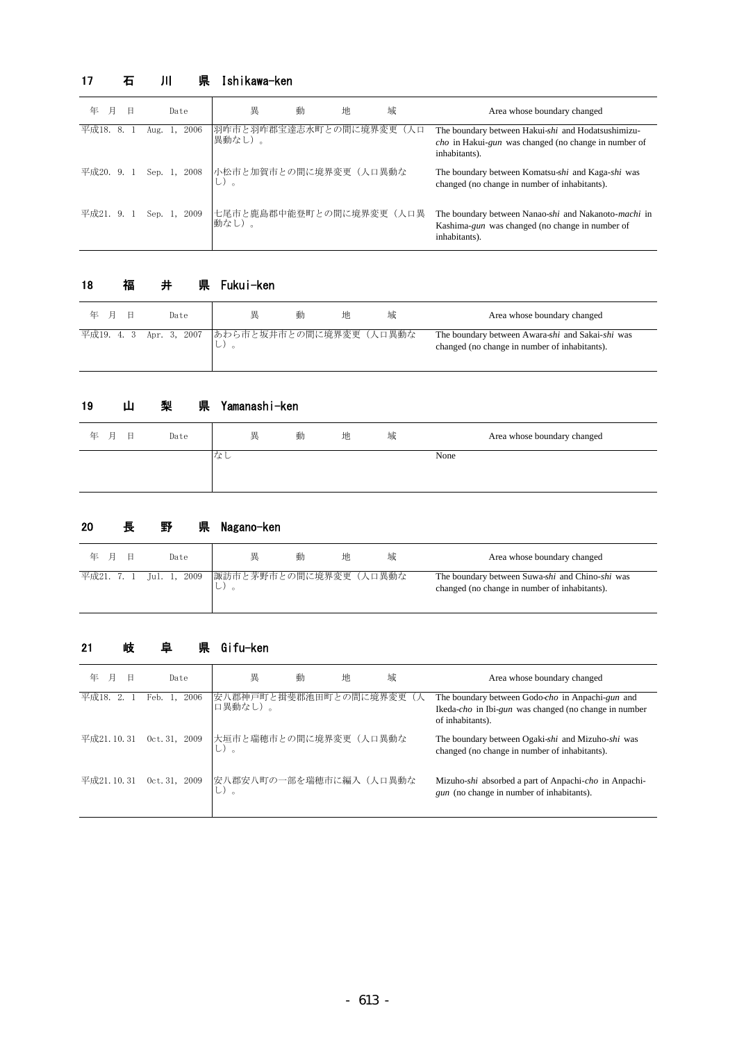# 17 石 川 県 Ishikawa-ken

| 年           | Date            | 異                                  | 動<br>地 | 域 | Area whose boundary changed                                                                                                        |
|-------------|-----------------|------------------------------------|--------|---|------------------------------------------------------------------------------------------------------------------------------------|
| 平成18.<br>8. | 2006<br>Aug.    | 羽咋市と羽咋郡宝達志水町との間に境界変更(人口<br> 異動なし)。 |        |   | The boundary between Hakui-shi and Hodatsushimizu-<br><i>cho</i> in Hakui-gun was changed (no change in number of<br>inhabitants). |
| 平成20. 9. 1  | Sep. 1, 2008    | 小松市と加賀市との間に境界変更(人口異動な<br>し)。       |        |   | The boundary between Komatsu-shi and Kaga-shi was<br>changed (no change in number of inhabitants).                                 |
| 平成21. 9. 1  | Sep. 1,<br>2009 | 七尾市と鹿島郡中能登町との間に境界変更(人口異<br>動なし)。   |        |   | The boundary between Nanao-shi and Nakanoto-machi in<br>Kashima-gun was changed (no change in number of<br>inhabitants).           |

## 18 福 井 県 Fukui-ken

| 年 月 | Date | 畢                                                      | 動 | 地 | 域 | Area whose boundary changed                                                                       |
|-----|------|--------------------------------------------------------|---|---|---|---------------------------------------------------------------------------------------------------|
|     |      | 平成19. 4. 3 Apr. 3, 2007 あわら市と坂井市との間に境界変更 (人口異動な<br>レノー |   |   |   | The boundary between Awara-shi and Sakai-shi was<br>changed (no change in number of inhabitants). |

#### 県 Yamanashi-ken 19 山 梨

| 年 月<br>日<br>Date | 異   | 動 | 地 | 域 | Area whose boundary changed |
|------------------|-----|---|---|---|-----------------------------|
|                  | ・よし |   |   |   | None                        |

# 20 長 野 県 Nagano-ken

| 日<br>年 月 | Date | 畢                                                       | 動<br>地 | 域 | Area whose boundary changed                                                                      |
|----------|------|---------------------------------------------------------|--------|---|--------------------------------------------------------------------------------------------------|
|          |      | 平成21. 7. 1 Jul. 1, 2009   諏訪市と茅野市との間に境界変更 (人口異動な<br>レノー |        |   | The boundary between Suwa-shi and Chino-shi was<br>changed (no change in number of inhabitants). |

# 21 岐 阜 県 Gifu-ken

| 年          | Date            | 異                                  | 動 | 地 | 域 | Area whose boundary changed                                                                                                           |
|------------|-----------------|------------------------------------|---|---|---|---------------------------------------------------------------------------------------------------------------------------------------|
| 平成18.      | 2006<br>Feb. 1, | 安八郡神戸町と揖斐郡池田町との間に境界変更(人<br>口異動なし)。 |   |   |   | The boundary between Godo-cho in Anpachi-gun and<br>Ikeda- <i>cho</i> in Ibi-gun was changed (no change in number<br>of inhabitants). |
| 平成21.10.31 | 0ct.31, 2009    | 大垣市と瑞穂市との間に境界変更(人口異動な<br>し)。       |   |   |   | The boundary between Ogaki-shi and Mizuho-shi was<br>changed (no change in number of inhabitants).                                    |
| 平成21.10.31 | 0ct.31, 2009    | 安八郡安八町の一部を瑞穂市に編入(人口異動な             |   |   |   | Mizuho-shi absorbed a part of Anpachi-cho in Anpachi-<br>gun (no change in number of inhabitants).                                    |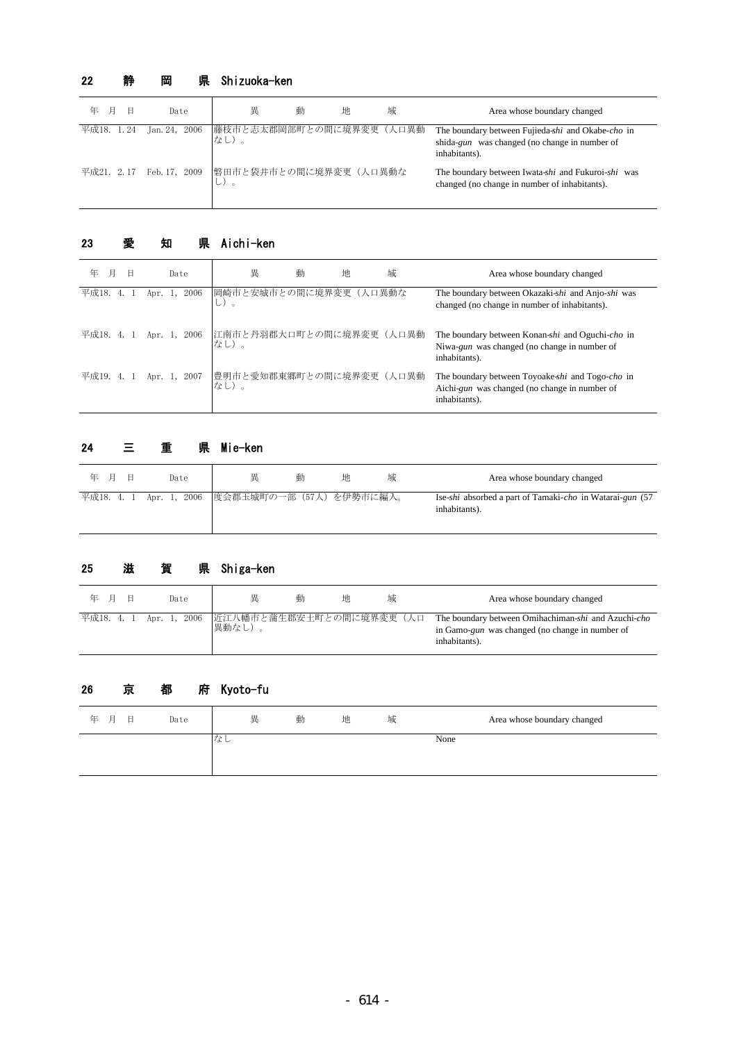## 22 静 岡 県 Shizuoka-ken

| 月<br>年<br>E | Date                                            | 異                               | 動 | 地 | 域 | Area whose boundary changed                                                                                         |
|-------------|-------------------------------------------------|---------------------------------|---|---|---|---------------------------------------------------------------------------------------------------------------------|
| 平成18. 1.24  | Jan. 24, 2006                                   | 藤枝市と志太郡岡部町との間に境界変更(人口異動<br>なし)。 |   |   |   | The boundary between Fujieda-shi and Okabe-cho in<br>shida-gun was changed (no change in number of<br>inhabitants). |
|             | 平成21. 2.17 Feb. 17, 2009 磐田市と袋井市との間に境界変更 (人口異動な |                                 |   |   |   | The boundary between Iwata-shi and Fukuroi-shi was<br>changed (no change in number of inhabitants).                 |

# 23 愛 知 県 Aichi-ken

| 年<br>月<br>日 | Date            | 異                                                       | 動<br>地 | 域 | Area whose boundary changed                                                                                        |
|-------------|-----------------|---------------------------------------------------------|--------|---|--------------------------------------------------------------------------------------------------------------------|
| 平成18.       | 2006<br>Apr. 1, | 岡崎市と安城市との間に境界変更(人口異動な                                   |        |   | The boundary between Okazaki-shi and Anjo-shi was<br>changed (no change in number of inhabitants).                 |
|             |                 | 平成18. 4. 1 Apr. 1, 2006 江南市と丹羽郡大口町との間に境界変更(人口異動<br>なし)。 |        |   | The boundary between Konan-shi and Oguchi-cho in<br>Niwa-gun was changed (no change in number of<br>inhabitants).  |
| 平成19. 4. 1  |                 | Apr. 1, 2007 豊明市と愛知郡東郷町との間に境界変更(人口異動<br>なし)。            |        |   | The boundary between Toyoake-shi and Togo-cho in<br>Aichi-gun was changed (no change in number of<br>inhabitants). |

# 24 三 重 県 Mie-ken

| Е<br>年 月 | Date                                               | 畢 | 動 | 地 | 现 | Area whose boundary changed                                               |
|----------|----------------------------------------------------|---|---|---|---|---------------------------------------------------------------------------|
|          | 平成18. 4. 1 Apr. 1, 2006   度会郡玉城町の一部 (57人) を伊勢市に編入。 |   |   |   |   | Ise-shi absorbed a part of Tamaki-cho in Watarai-gun (57<br>inhabitants). |

# 25 滋 賀 県 Shiga-ken

| 年 月 | Date | 里                                                          | 動 | 地<br>域 | Area whose boundary changed                                                                                             |
|-----|------|------------------------------------------------------------|---|--------|-------------------------------------------------------------------------------------------------------------------------|
|     |      | 平成18. 4. 1 Apr. 1, 2006 近江八幡市と蒲生郡安土町との間に境界変更 (人口<br>異動なし)。 |   |        | The boundary between Omihachiman-shi and Azuchi-cho<br>in Gamo-gun was changed (no change in number of<br>inhabitants). |

# Kyoto-fu 26 京 都 府

| 年 月<br>日 | Date | 異   | 動 | 地 | 域 | Area whose boundary changed |
|----------|------|-----|---|---|---|-----------------------------|
|          |      | へよし |   |   |   | None                        |
|          |      |     |   |   |   |                             |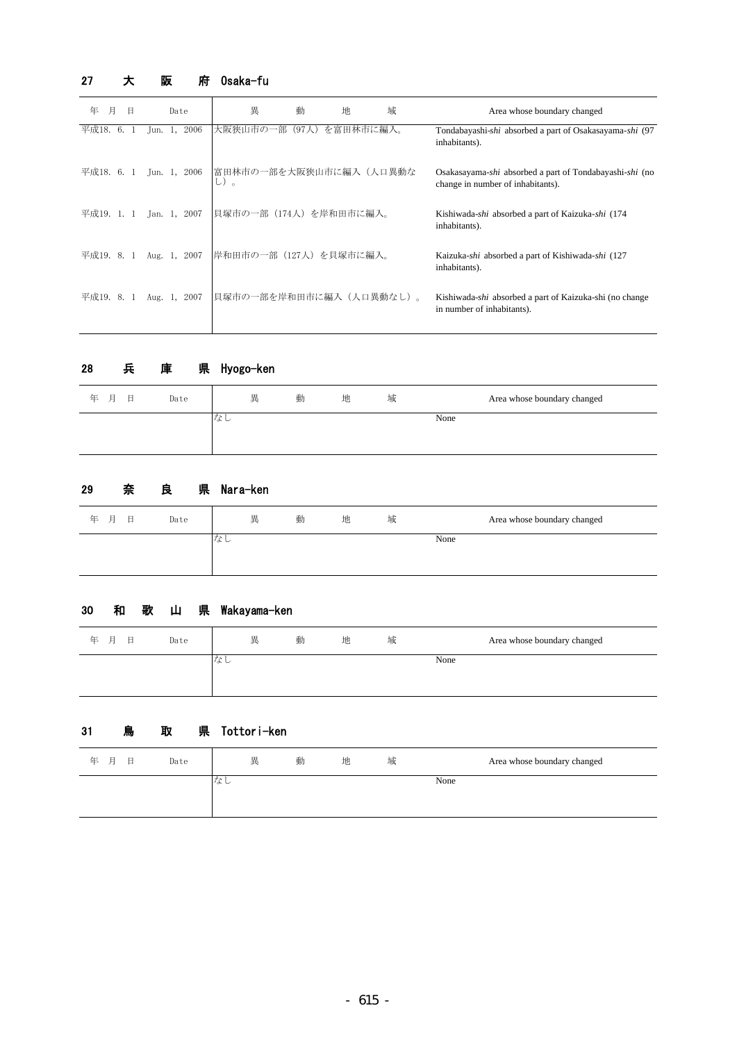# 27 大 阪 府 0saka-fu

| 月<br>年     |    | Β |            | Date         | 異                                           | 動     | 地         | 域 | Area whose boundary changed                                                                  |
|------------|----|---|------------|--------------|---------------------------------------------|-------|-----------|---|----------------------------------------------------------------------------------------------|
| 平成18.      | 6. |   | Jun. 1,    | 2006         | 部<br>大阪狭山市の                                 | (97人) | を富田林市に編入。 |   | Tondabayashi-shi absorbed a part of Osakasayama-shi (97<br>inhabitants).                     |
| 平成18. 6. 1 |    |   |            |              | Jun. 1, 2006 富田林市の一部を大阪狭山市に編入 (人口異動な<br>し)。 |       |           |   | Osakasayama-shi absorbed a part of Tondabayashi-shi (no<br>change in number of inhabitants). |
| 平成19. 1. 1 |    |   |            | Jan. 1, 2007 | 貝塚市の一部(174人)を岸和田市に編入。                       |       |           |   | Kishiwada-shi absorbed a part of Kaizuka-shi (174<br>inhabitants).                           |
| 平成19.8.1   |    |   | Aug. $1$ , | 2007         | 岸和田市の一部(127人)を貝塚市に編入。                       |       |           |   | Kaizuka-shi absorbed a part of Kishiwada-shi (127<br>inhabitants).                           |
| 平成19. 8. 1 |    |   |            | Aug. 1, 2007 | 貝塚市の一部を岸和田市に編入(人口異動なし)。                     |       |           |   | Kishiwada-shi absorbed a part of Kaizuka-shi (no change<br>in number of inhabitants).        |

## 28 兵 庫 県 Hyogo-ken

| None<br>へんし | 年 月<br>日 | Date | 異 | 動 | 地 | 域 | Area whose boundary changed |  |
|-------------|----------|------|---|---|---|---|-----------------------------|--|
|             |          |      |   |   |   |   |                             |  |

#### 県 Nara-ken 29 奈 良

| 年 月<br>日 | Date | 異          | 動 | 地 | 域 | Area whose boundary changed |
|----------|------|------------|---|---|---|-----------------------------|
|          |      | $+x$<br>バレ |   |   |   | None                        |

## 30 和 歌 山 県 Wakayama-ken

| 月<br>日<br>年 | Date | 異  | 動 | 地 | 域 | Area whose boundary changed |
|-------------|------|----|---|---|---|-----------------------------|
|             |      | なし |   |   |   | None                        |
|             |      |    |   |   |   |                             |

## 31 鳥 取 県 Tottori-ken

| 年 月<br>日 | Date | 異   | 動 | 地 | 域 | Area whose boundary changed |
|----------|------|-----|---|---|---|-----------------------------|
|          |      | へよし |   |   |   | None                        |
|          |      |     |   |   |   |                             |
|          |      |     |   |   |   |                             |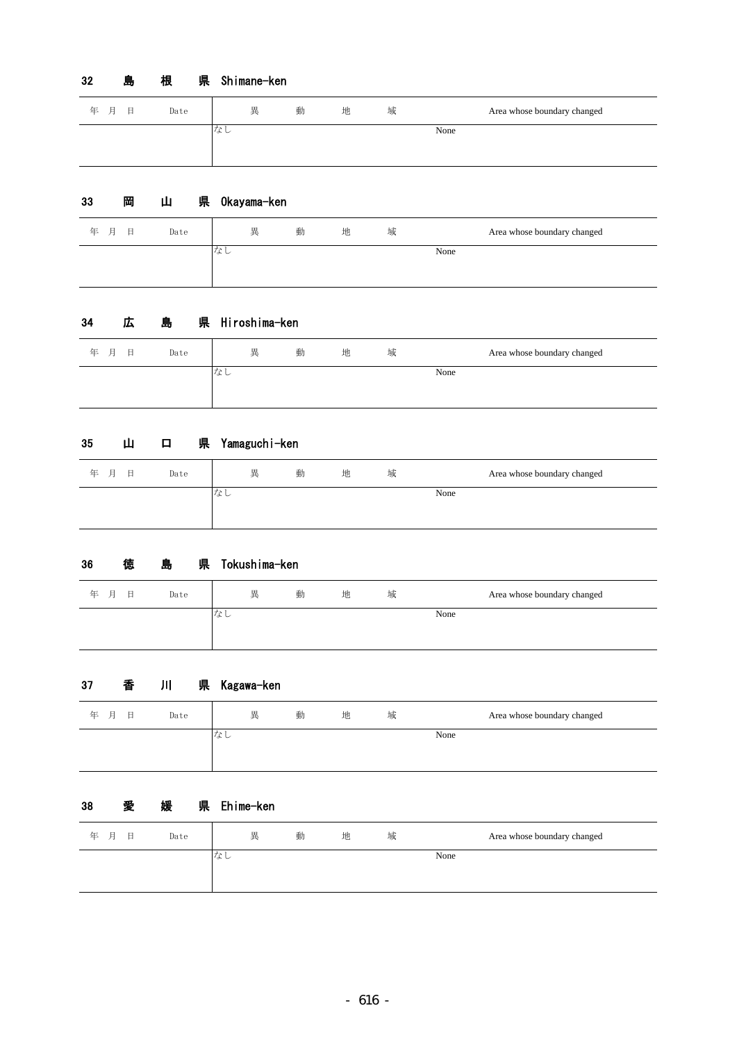#### 県 Shimane-ken 32 島 根

| 年 月<br>日 | Date | 異  | 動 | 地 | 域 | Area whose boundary changed |
|----------|------|----|---|---|---|-----------------------------|
|          |      | なし |   |   |   | None                        |
|          |      |    |   |   |   |                             |

### 県 Okayama-ken 33 岡 山

| 年 月 | 日 | Date | 異   | 動 | 地 | 域 |      | Area whose boundary changed |
|-----|---|------|-----|---|---|---|------|-----------------------------|
|     |   |      | へんし |   |   |   | None |                             |
|     |   |      |     |   |   |   |      |                             |

### 県 Hiroshima-ken 34 広 島

| 年<br>月<br>日<br>Date | 異  | 動 | 地 | 域 | Area whose boundary changed |
|---------------------|----|---|---|---|-----------------------------|
|                     | なし |   |   |   | None                        |

#### 県 Yamaguchi-ken 35 山 口

| 年 月<br>日 | 異<br>Date | 動<br>地 | 域 | Area whose boundary changed |
|----------|-----------|--------|---|-----------------------------|
|          | なし        |        |   | None                        |

### 県 Tokushima-ken 36 徳 島 県

| 月<br>年<br>日 | Date | 異   | 動 | 地 | 域 |      | Area whose boundary changed |
|-------------|------|-----|---|---|---|------|-----------------------------|
|             |      | リよし |   |   |   | None |                             |

#### 県 Kagawa-ken 37 香 川

| 年 月<br>目 | Date | 異  | 動 | 地 | 域 | Area whose boundary changed |
|----------|------|----|---|---|---|-----------------------------|
|          |      | なし |   |   |   | None                        |
|          |      |    |   |   |   |                             |

### 県 Ehime-ken 38 愛 媛 県

| 日<br>年 月<br>Date | 異   | 動 | 地 | 域 |      | Area whose boundary changed |
|------------------|-----|---|---|---|------|-----------------------------|
|                  | へんし |   |   |   | None |                             |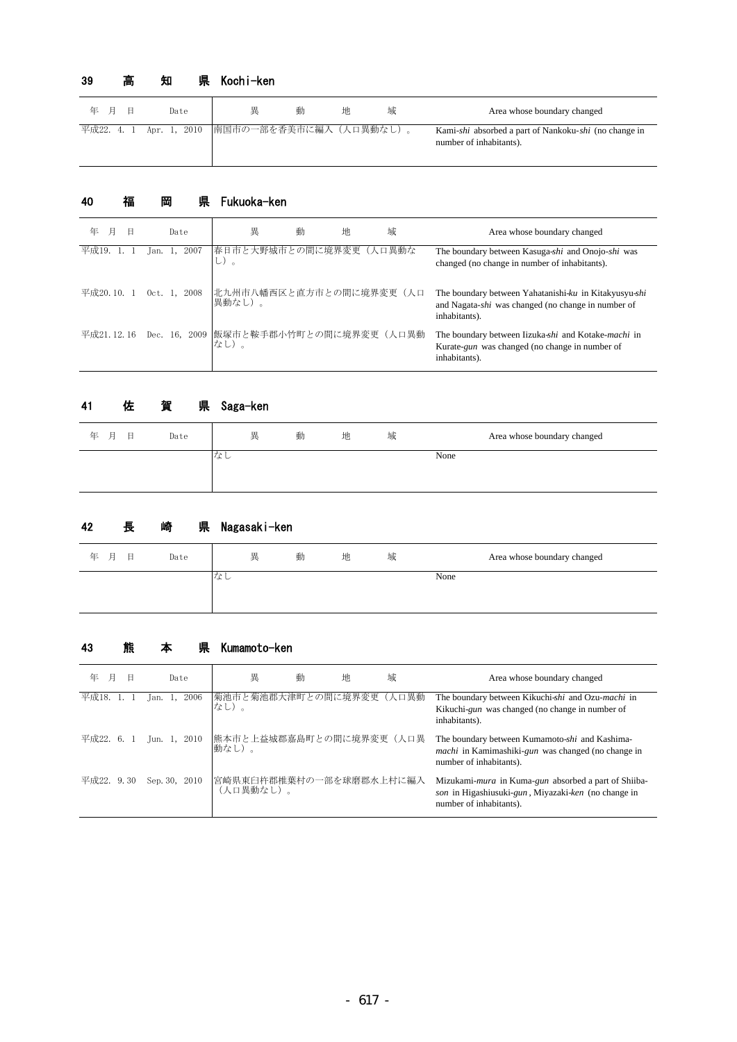#### 県 Kochi-ken 39 高 知

| 年 月 | Date                                            | 畢 | 動 | 地 | 域 | Area whose boundary changed                                                      |
|-----|-------------------------------------------------|---|---|---|---|----------------------------------------------------------------------------------|
|     | 平成22. 4. 1 Apr. 1, 2010 南国市の一部を香美市に編入 (人口異動なし)。 |   |   |   |   | Kami-shi absorbed a part of Nankoku-shi (no change in<br>number of inhabitants). |

### 県 Fukuoka-ken 40 福 岡

| 年<br>日     | Date               | 動<br>異<br>地                                   | 域 | Area whose boundary changed                                                                                                  |
|------------|--------------------|-----------------------------------------------|---|------------------------------------------------------------------------------------------------------------------------------|
| 平成19.      | 2007<br>lan.       | 春日市と大野城市との間に境界変更(人口異動な<br>し)。                 |   | The boundary between Kasuga-shi and Onojo-shi was<br>changed (no change in number of inhabitants).                           |
| 平成20.10.1  | $0$ ct. 1.<br>2008 | 北九州市八幡西区と直方市との間に境界変更(人口<br>異動なし)。             |   | The boundary between Yahatanishi-ku in Kitakyusyu-shi<br>and Nagata-shi was changed (no change in number of<br>inhabitants). |
| 平成21.12.16 |                    | Dec. 16, 2009 飯塚市と鞍手郡小竹町との間に境界変更(人口異動<br>なし)。 |   | The boundary between Iizuka-shi and Kotake-machi in<br>Kurate-gun was changed (no change in number of<br>inhabitants).       |

#### 県 Saga-ken 41 佐 賀

| 年 月<br>日 | Date | 異  | 動 | 地 | 域 | Area whose boundary changed |
|----------|------|----|---|---|---|-----------------------------|
|          |      | なし |   |   |   | None                        |

#### 県 Nagasaki-ken 42 長 崎

| 年 月<br>日<br>Date |    | 異<br>動 | 地 | 域 | Area whose boundary changed |
|------------------|----|--------|---|---|-----------------------------|
|                  | なし |        |   |   | None                        |
|                  |    |        |   |   |                             |

## 43 熊 本 県 Kumamoto-ken

| 年<br>月     | Date               | 異                                    | 動 | 地 | 域 | Area whose boundary changed                                                                                                                    |
|------------|--------------------|--------------------------------------|---|---|---|------------------------------------------------------------------------------------------------------------------------------------------------|
| 平成18. 1.   | 2006<br>Jan. $1$ , | 菊池市と菊池郡大津町との間に境界変更(人口異動<br>なし)。      |   |   |   | The boundary between Kikuchi-shi and Ozu-machi in<br>Kikuchi- <i>gun</i> was changed (no change in number of<br>inhabitants).                  |
| 平成22. 6. 1 | Jun. 1, 2010       | 熊本市と上益城郡嘉島町との間に境界変更(人口異<br>動なし)。     |   |   |   | The boundary between Kumamoto-shi and Kashima-<br><i>machi</i> in Kamimashiki- <i>gun</i> was changed (no change in<br>number of inhabitants). |
| 平成22. 9.30 | Sep. 30, 2010      | 宮崎県東臼杵郡椎葉村の一部を球磨郡水上村に編入<br>(人口異動なし)。 |   |   |   | Mizukami-mura in Kuma-gun absorbed a part of Shiiba-<br>son in Higashiusuki-gun, Miyazaki-ken (no change in<br>number of inhabitants).         |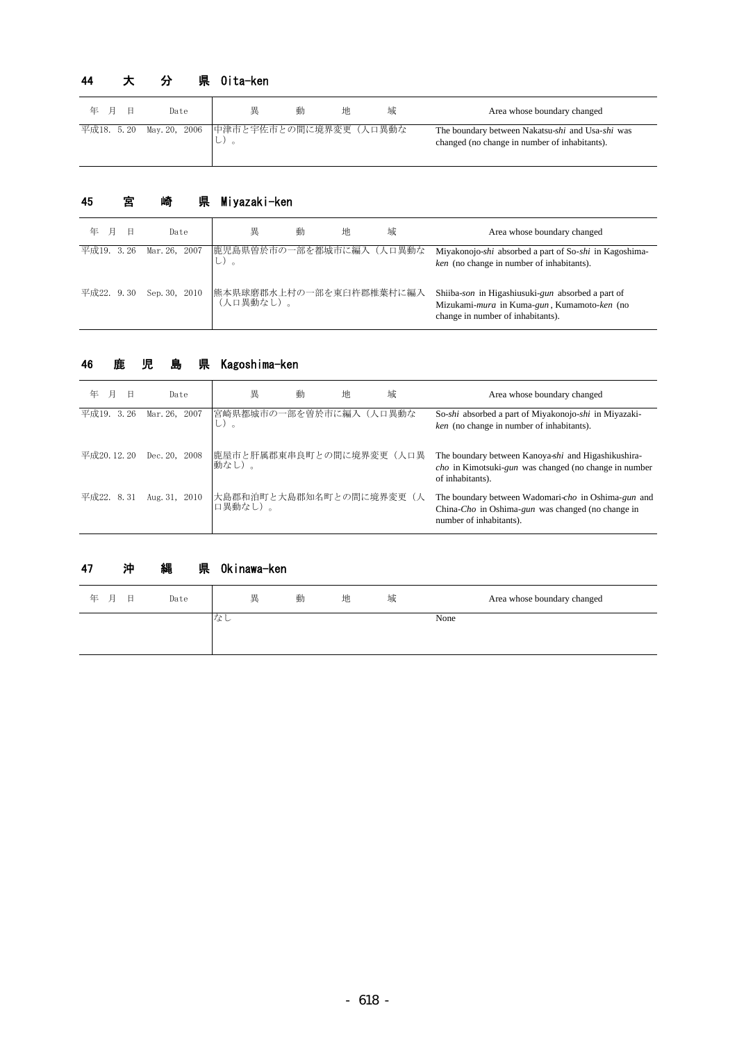# 44 大 分 県 0ita-ken

| 年 月 | Β | Date | 異                                              | 動 | 地 | 域 | Area whose boundary changed                                                                       |
|-----|---|------|------------------------------------------------|---|---|---|---------------------------------------------------------------------------------------------------|
|     |   |      | 平成18. 5.20 May.20, 2006 中津市と宇佐市との間に境界変更 (人口異動な |   |   |   | The boundary between Nakatsu-shi and Usa-shi was<br>changed (no change in number of inhabitants). |

# 45 宮 崎 県 Miyazaki-ken

| 年<br>日     | Date                     | 異                                    | 動 | 地 | 域 | Area whose boundary changed                                                                                                           |
|------------|--------------------------|--------------------------------------|---|---|---|---------------------------------------------------------------------------------------------------------------------------------------|
| 平成19. 3.26 | Mar. 26, 2007            | 鹿児島県曽於市の一部を都城市に編入(人口異動な<br>レハ。       |   |   |   | Miyakonojo-shi absorbed a part of So-shi in Kagoshima-<br>ken (no change in number of inhabitants).                                   |
|            | 平成22. 9.30 Sep. 30, 2010 | 熊本県球磨郡水上村の一部を東臼杵郡椎葉村に編入<br>(人口異動なし)。 |   |   |   | Shiiba-son in Higashiusuki-gun absorbed a part of<br>Mizukami-mura in Kuma-gun, Kumamoto-ken (no<br>change in number of inhabitants). |

## 46 鹿 児 島 県 Kagoshima-ken

| 年<br>F<br>Θ | Date          | 異                                   | 動 | 地 | 域 | Area whose boundary changed                                                                                                                     |
|-------------|---------------|-------------------------------------|---|---|---|-------------------------------------------------------------------------------------------------------------------------------------------------|
| 平成19. 3.26  | Mar. 26, 2007 | 宮崎県都城市の一部を曽於市に編入(人口異動な<br>レー。       |   |   |   | So-shi absorbed a part of Miyakonojo-shi in Miyazaki-<br>ken (no change in number of inhabitants).                                              |
| 平成20.12.20  | Dec. 20, 2008 | 鹿屋市と肝属郡東串良町との間に境界変更(人口異<br>動なし)。    |   |   |   | The boundary between Kanoya-shi and Higashikushira-<br><i>cho</i> in Kimotsuki- <i>gun</i> was changed (no change in number<br>of inhabitants). |
| 平成22. 8.31  | Aug. 31, 2010 | 大島郡和泊町と大島郡知名町との間に境界変更(人<br> 口異動なし)。 |   |   |   | The boundary between Wadomari-cho in Oshima-gun and<br>China-Cho in Oshima-gun was changed (no change in<br>number of inhabitants).             |

# 47 沖 縄 県 Okinawa-ken

| 年 月<br>目 | Date | 異   | 動 | 地 | 域 | Area whose boundary changed |
|----------|------|-----|---|---|---|-----------------------------|
|          |      | へよし |   |   |   | None                        |
|          |      |     |   |   |   |                             |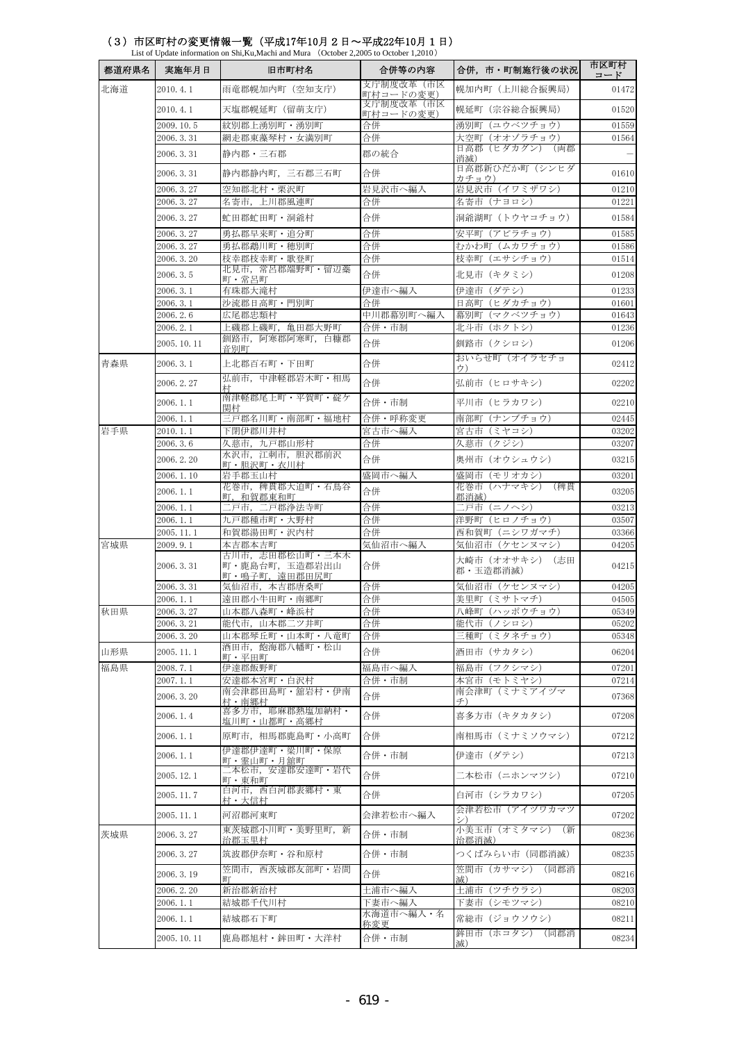| 都道府県名 | 実施年月日                    | 旧市町村名                           | 合併等の内容                 | 合併,市・町制施行後の状況                     | 市区町村<br>コード    |
|-------|--------------------------|---------------------------------|------------------------|-----------------------------------|----------------|
| 北海道   | 2010.4.1                 | 雨竜郡幌加内町(空知支庁)                   | 支庁制度改革(市区<br>町村コードの変更) | 幌加内町 (上川総合振興局)                    | 01472          |
|       | 2010.4.1                 | 天塩郡幌延町(留萌支庁)                    | 支庁制度改革(市区<br>町村コードの変更) | 幌延町(宗谷総合振興局)                      | 01520          |
|       | 2009.10.5                | 紋別郡上湧別町・湧別町                     | 合併                     | 湧別町(ユウベツチョウ)                      | 01559          |
|       | 2006. 3.31               | 網走郡東藻琴村・女満別町                    | 合併                     | 大空町(オオゾラチョウ)<br>日高郡(ヒダカグン)(両郡     | 01564          |
|       | 2006. 3.31               | 静内郡・三石郡                         | 郡の統合                   | 消滅)                               |                |
|       | 2006.3.31                | 静内郡静内町, 三石郡三石町                  | 合併                     | 日高郡新ひだか町(シンヒダ<br>カチョウ)            | 01610          |
|       | 2006. 3. 27              | 空知郡北村・栗沢町                       | 岩見沢市へ編入                | 岩見沢市 (イワミザワシ)                     | 01210          |
|       | 2006. 3. 27<br>2006.3.27 | 名寄市,上川郡風連町<br>虻田郡虻田町・洞爺村        | 合併<br>合併               | 名寄市(ナヨロシ)<br>洞爺湖町(トウヤコチョウ)        | 01221<br>01584 |
|       | 2006.3.27                | 勇払郡早来町・追分町                      | 合併                     | 安平町(アビラチョウ)                       | 01585          |
|       | 2006.3.27                | 勇払郡鵡川町・穂別町                      | 合併                     | むかわ町(ムカワチョウ)                      | 01586          |
|       | 2006.3.20                | 枝幸郡枝幸町・歌登町                      | 合併                     | 枝幸町(エサシチョウ)                       | 01514          |
|       | 2006.3.5                 | 北見市,常呂郡端野町・留辺蘂<br>町・常呂町         | 合併                     | 北見市 (キタミシ)                        | 01208          |
|       | 2006.3.1                 | 有珠郡大滝村                          | 伊達市へ編入                 | 伊達市(ダテシ)                          | 01233          |
|       | 2006.3.1<br>2006.2.6     | 沙流郡日高町・門別町<br>広尾郡忠類村            | 合併<br>中川郡幕別町へ編入        | 日高町 (ヒダカチョウ)<br>幕別町 (マクベツチョウ)     | 01601<br>01643 |
|       | 2006.2.1                 | 上磯郡上磯町,亀田郡大野町                   | 合併・市制                  | 北斗市(ホクトシ)                         | 01236          |
|       | 2005.10.11               | 釧路市, 阿寒郡阿寒町, 白糠郡<br>音別町         | 合併                     | 釧路市(クシロシ)                         | 01206          |
| 青森県   | 2006.3.1                 | 上北郡百石町・下田町                      | 合併                     | おいらせ町(オイラセチョ<br>ウ)                | 02412          |
|       | 2006.2.27                | 弘前市、中津軽郡岩木町・相馬<br>村             | 合併                     | 弘前市(ヒロサキシ)                        | 02202          |
|       | 2006.1.1                 | 南津軽郡尾上町・平賀町・碇ケ<br>関村            | 合併・市制                  | 平川市(ヒラカワシ)                        | 02210          |
|       | 2006.1.1                 | 三戸郡名川町・南部町・福地村                  | 合併·呼称変更                | 南部町(ナンブチョウ)                       | 02445          |
| 岩手県   | 2010.1.1                 | 下閉伊郡川井村                         | 宮古市へ編入                 | 宮古市(ミヤコシ)                         | 03202          |
|       | 2006.3.6<br>2006.2.20    | 久慈市,九戸郡山形村<br>水沢市, 江刺市, 胆沢郡前沢   | 合併<br>合併               | 久慈市(クジシ)<br>奥州市(オウシュウシ)           | 03207<br>03215 |
|       | 2006.1.10                | 町・胆沢町・衣川村<br>岩手郡玉山村             | 盛岡市へ編入                 | 盛岡市(モリオカシ)                        | 03201          |
|       | 2006.1.1                 | 花巻市,稗貫郡大迫町・石鳥谷                  | 合併                     | 花巻市(ハナマキシ)(稗貫                     | 03205          |
|       | 2006.1.1                 | 町,和賀郡東和町<br>二戸市,二戸郡浄法寺町         | 合併                     | 郡消滅)<br>ニ戸市(ニノヘシ)                 | 03213          |
|       | 2006.1.1                 | 九戸郡種市町・大野村                      | 合併                     | 洋野町 (ヒロノチョウ)                      | 03507          |
|       | 2005.11.1                | 和賀郡湯田町・沢内村                      | 合併                     | 西和賀町 (ニシワガマチ)                     | 03366          |
| 宮城県   | 2009.9.1                 | 本吉郡本吉町<br>古川市,志田郡松山町・三本木        | 気仙沼市へ編入                | 気仙沼市(ケセンヌマシ)<br>大崎市(オオサキシ)<br>(志田 | 04205          |
|       | 2006. 3.31               | 町·鹿島台町, 玉造郡岩出山<br>町・鳴子町,遠田郡田尻町  | 合併                     | 郡 · 玉造郡消滅)                        | 04215          |
|       | 2006. 3.31               | 気仙沼市, 本吉郡唐桑町                    | 合併                     | 気仙沼市 (ケセンヌマシ)                     | 04205          |
| 秋田県   | 2006.1.1<br>2006. 3. 27  | 遠田郡小牛田町・南郷町<br>山本郡八森町・峰浜村       | 合併<br>合併               | 美里町 (ミサトマチ)<br>八峰町(ハッポウチョウ)       | 04505<br>05349 |
|       | 2006. 3. 21              | 能代市,山本郡二ツ井町                     | 合併                     | 能代市(ノシロシ)                         | 05202          |
|       | 2006.3.20                | 山本郡琴丘町・山本町・八竜町                  | 合併                     | 三種町(ミタネチョウ)                       | 05348          |
| 山形県   | 2005.11.1                | 酒田市,飽海郡八幡町・松山<br>町・平田町          | 合併                     | 酒田市(サカタシ)                         | 06204          |
| 福島県   | 2008.7.1                 | 伊達郡飯野町                          | 福島市へ編入                 | 福島市(フクシマシ)                        | 07201          |
|       | 2007.1.1                 | 安達郡本宮町・白沢村<br>南会津郡田島町・舘岩村・伊南    | 合併・市制                  | 本宮市(モトミヤシ)<br>南会津町(ミナミアイヅマ        | 07214          |
|       | 2006.3.20                | 村・南郷村<br>喜多方市, 耶麻郡熱塩加納村·        | 合併                     | チ)                                | 07368          |
|       | 2006.1.4                 | 塩川町・山都町・高郷村                     | 合併                     | 喜多方市(キタカタシ)                       | 07208          |
|       | 2006.1.1                 | 原町市,相馬郡鹿島町・小高町<br>伊達郡伊達町・梁川町・保原 | 合併                     | 南相馬市(ミナミソウマシ)                     | 07212          |
|       | 2006.1.1                 | 町・霊山町・月舘町<br>ニ本松市,安達郡安達町・岩代     | 合併・市制                  | 伊達市(ダテシ)                          | 07213          |
|       | 2005.12.1                | 町・東和町<br>白河市、西白河郡表郷村・東          | 合併                     | 二本松市(ニホンマツシ)                      | 07210          |
|       | 2005.11.7                | 村・大信村                           | 合併                     | 白河市(シラカワシ)<br>会津若松市(アイヅワカマツ       | 07205          |
|       | 2005.11.1                | 河沼郡河東町<br>東茨城郡小川町・美野里町,新        | 会津若松市へ編入               | 小美玉市(オミタマシ)(新                     | 07202          |
| 茨城県   | 2006. 3. 27              | 治郡玉里村                           | 合併・市制                  | 治郡消滅)                             | 08236          |
|       | 2006. 3. 27              | 筑波郡伊奈町・谷和原村<br>笠間市、西茨城郡友部町・岩間   | 合併・市制                  | つくばみらい市(同郡消滅)<br>笠間市(カサマシ)(同郡消    | 08235          |
|       | 2006. 3. 19              | 町                               | 合併                     | 减)                                | 08216          |
|       | 2006.2.20<br>2006.1.1    | 新治郡新治村<br>結城郡千代川村               | 土浦市へ編入<br>下妻市へ編入       | 土浦市(ツチウラシ)<br>下妻市(シモツマシ)          | 08203<br>08210 |
|       | 2006.1.1                 | 結城郡石下町                          | 水海道市へ編入・名              | 常総市(ジョウソウシ)                       | 08211          |
|       | 2005.10.11               | 鹿島郡旭村・鉾田町・大洋村                   | 称変更<br>合併・市制           | 鉾田市(ホコタシ)(同郡消                     | 08234          |
|       |                          |                                 |                        | 滅)                                |                |

## (3)市区町村の変更情報一覧(平成17年10月2日~平成22年10月1日)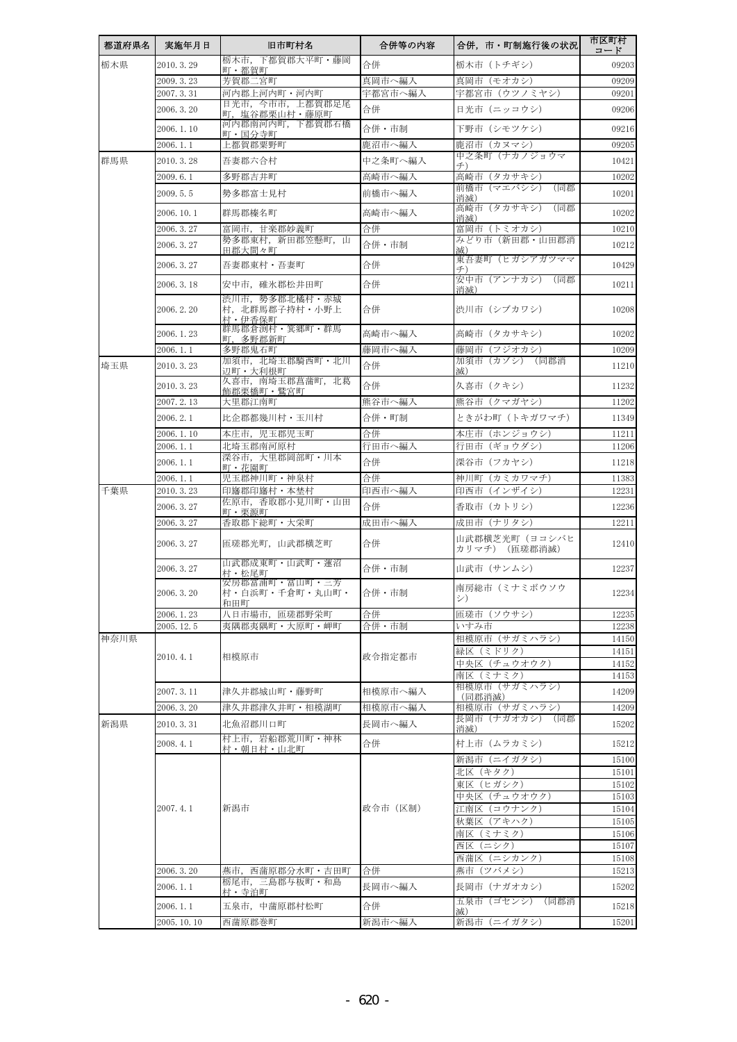| 都道府県名 | 実施年月日                 | 旧市町村名                                     | 合併等の内容       | 合併,市・町制施行後の状況                 | 市区町村<br>コード    |
|-------|-----------------------|-------------------------------------------|--------------|-------------------------------|----------------|
| 栃木県   | 2010.3.29             | 栃木市,下都賀郡大平町・藤岡<br>町・都賀町                   | 合併           | 栃木市 (トチギシ)                    | 09203          |
|       | 2009.3.23             | 芳賀郡二宮町                                    | 真岡市へ編入       | 真岡市(モオカシ)                     | 09209          |
|       | 2007.3.31             | 河内郡上河内町・河内町                               | 宇都宮市へ編入      | 宇都宮市(ウツノミヤシ)                  | 09201          |
|       | 2006.3.20             | 日光市,今市市,上都賀郡足尾<br>町,塩谷郡栗山村・藤原町            | 合併           | 日光市 (ニッコウシ)                   | 09206          |
|       | 2006.1.10             | 河内郡南河内町,下都賀郡石橋<br>町・国分寺町                  | 合併・市制        | 下野市(シモツケシ)                    | 09216          |
|       | 2006.1.1              | 上都賀郡粟野町                                   | 鹿沼市へ編入       | 鹿沼市(カヌマシ)                     | 09205          |
| 群馬県   | 2010.3.28             | 吾妻郡六合村                                    | 中之条町へ編入      | 中之条町(ナカノジョウマ                  | 10421          |
|       | 2009.6.1              | 多野郡吉井町                                    | 高崎市へ編入       | 高崎市(タカサキシ)                    | 10202          |
|       | 2009.5.5              | 勢多郡富士見村                                   | 前橋市へ編入       | 前橋市(マエバシシ)<br>(同郡<br>消滅)      | 10201          |
|       | 2006.10.1             | 群馬郡榛名町                                    | 高崎市へ編入       | 高崎市(タカサキシ)<br>(同郡<br>消滅)      | 10202          |
|       | 2006.3.27             | 富岡市, 甘楽郡妙義町                               | 合併           | 富岡市(トミオカシ)                    | 10210          |
|       | 2006.3.27             | 勢多郡東村,新田郡笠懸町,山<br>田郡大間々町                  | 合併・市制        | みどり市(新田郡・山田郡消<br>减)           | 10212          |
|       | 2006.3.27             | 吾妻郡東村・吾妻町                                 | 合併           | 東吾妻町(ヒガシアガツママ                 | 10429          |
|       | 2006.3.18             | 安中市,碓氷郡松井田町                               | 合併           | 安中市(アンナカシ)<br>(同郡<br>消滅)      | 10211          |
|       | 2006.2.20             | 渋川市, 勢多郡北橘村·赤城<br>村,北群馬郡子持村・小野上<br>村・伊香保町 | 合併           | 渋川市(シブカワシ)                    | 10208          |
|       | 2006.1.23             | 群馬郡倉渕村・箕郷町・群馬<br>町,多野郡新町                  | 高崎市へ編入       | 高崎市 (タカサキシ)                   | 10202          |
|       | 2006.1.1              | 多野郡鬼石町                                    | 藤岡市へ編入       | 藤岡市(フジオカシ)                    | 10209          |
| 埼玉県   | 2010.3.23             | 加須市,北埼玉郡騎西町・北川<br>辺町・大利根町                 | 合併           | 加須市(カゾシ)(同郡消<br>减)            | 11210          |
|       | 2010.3.23             | 久喜市,南埼玉郡菖蒲町,北葛<br>飾郡栗橋町・鷲宮町               | 合併           | 久喜市(クキシ)                      | 11232          |
|       | 2007.2.13             | 大里郡江南町                                    | 熊谷市へ編入       | 熊谷市(クマガヤシ)                    | 11202          |
|       | 2006.2.1              | 比企郡都幾川村・玉川村                               | 合併・町制        | ときがわ町(トキガワマチ)                 | 11349          |
|       | 2006.1.10             | 本庄市, 児玉郡児玉町                               | 合併           | 本庄市(ホンジョウシ)                   | 11211          |
|       | 2006.1.1              | 北埼玉郡南河原村<br>深谷市,大里郡岡部町・川本                 | 行田市へ編入       | 行田市(ギョウダシ)                    | 11206          |
|       | 2006.1.1              | 町・花園町                                     | 合併           | 深谷市(フカヤシ)                     | 11218          |
| 千葉県   | 2006.1.1<br>2010.3.23 | 児玉郡神川町·神泉村<br>印旛郡印旛村・本埜村                  | 合併<br>印西市へ編入 | 神川町(カミカワマチ)<br>印西市(インザイシ)     | 11383<br>12231 |
|       | 2006.3.27             | 佐原市,香取郡小見川町・山田                            | 合併           | 香取市(カトリシ)                     | 12236          |
|       | 2006.3.27             | 町・栗源町<br>香取郡下総町・大栄町                       | 成田市へ編入       | 成田市(ナリタシ)                     | 12211          |
|       | 2006. 3. 27           | 匝瑳郡光町,山武郡横芝町                              | 合併           | 山武郡横芝光町(ヨコシバヒ                 | 12410          |
|       |                       | 山武郡成東町・山武町・蓮沼                             |              | カリマチ) (匝瑳郡消滅)                 |                |
|       | 2006. 3. 27           | 村・松尾町<br>安房郡富浦町・富山町・三芳                    | 合併・市制        | 山武市(サンムシ)                     | 12237          |
|       | 2006.3.20             | 村・白浜町・千倉町・丸山町・<br>和田町                     | 合併・市制        | 南房総市(ミナミボウソウ<br>シ)            | 12234          |
|       | 2006.1.23             | 八日市場市,匝瑳郡野栄町                              | 合併           | 匝瑳市(ソウサシ)                     | 12235          |
|       | 2005.12.5             | 夷隅郡夷隅町・大原町・岬町                             | 合併・市制        | いすみ市                          | 12238          |
| 神奈川県  |                       |                                           |              | 相模原市 (サガミハラシ)<br>緑区 (ミドリク)    | 14150<br>14151 |
|       | 2010.4.1              | 相模原市                                      | 政令指定都市       | 中央区(チュウオウク)                   | 14152          |
|       |                       |                                           |              | 南区(ミナミク)<br>相模原市(サガミハラシ)      | 14153          |
|       | 2007.3.11             | 津久井郡城山町・藤野町                               | 相模原市へ編入      | (同郡消滅)                        | 14209          |
|       | 2006.3.20             | 津久井郡津久井町・相模湖町                             | 相模原市へ編入      | 相模原市(サガミハラシ)<br>長岡市(ナガオカシ)(同郡 | 14209          |
| 新潟県   | 2010.3.31             | 北魚沼郡川口町                                   | 長岡市へ編入       | 消滅)                           | 15202          |
|       | 2008.4.1              | 村上市,岩船郡荒川町・神林<br>村・朝日村・山北町                | 合併           | 村上市(ムラカミシ)                    | 15212          |
|       |                       |                                           |              | 新潟市(ニイガタシ)                    | 15100          |
|       |                       |                                           |              | 北区 (キタク)<br>東区(ヒガシク)          | 15101<br>15102 |
|       |                       |                                           |              | 中央区(チュウオウク)                   | 15103          |
|       | 2007.4.1              | 新潟市                                       | 政令市(区制)      | 江南区 (コウナンク)                   | 15104          |
|       |                       |                                           |              | 秋葉区(アキハク)<br>南区(ミナミク)         | 15105<br>15106 |
|       |                       |                                           |              | 西区 (ニシク)                      | 15107          |
|       |                       |                                           |              | 西蒲区(ニシカンク)                    | 15108          |
|       | 2006.3.20             | 燕市,西蒲原郡分水町・吉田町<br>栃尾市, 三島郡与板町·和島          | 合併           | 燕市(ツバメシ)                      | 15213          |
|       | 2006.1.1              | 村・寺泊町                                     | 長岡市へ編入       | 長岡市(ナガオカシ)                    | 15202          |
|       | 2006.1.1              | 五泉市,中蒲原郡村松町                               | 合併           | 五泉市(ゴセンシ)(同郡消<br>滅)           | 15218          |
|       | 2005.10.10            | 西蒲原郡巻町                                    | 新潟市へ編入       | 新潟市 (ニイガタシ)                   | 15201          |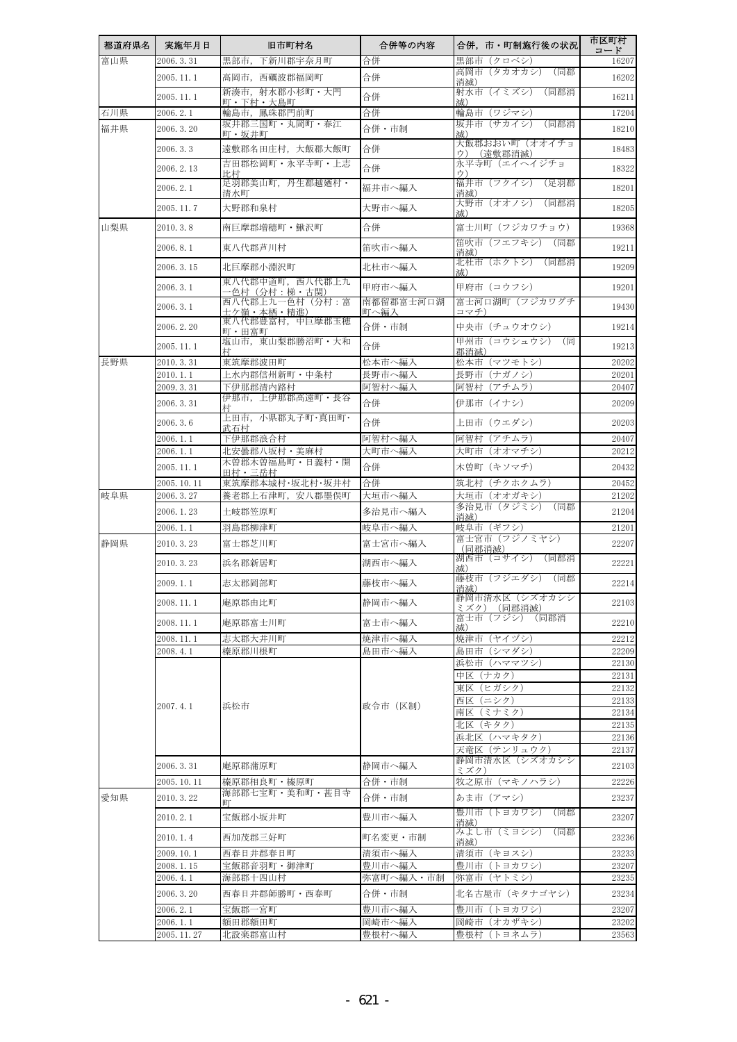| 富山県<br>2006.3.31<br>合併<br>黒部市(クロベシ)<br>黒部市,下新川郡宇奈月町<br>16207<br>高岡市(タカオカシ)(同郡<br>合併<br>2005.11.1<br>高岡市,西礪波郡福岡町<br>16202<br>消滅)<br>新湊市,射水郡小杉町・大門<br>射水市(イミズシ)<br>(同郡消<br>合併<br>2005.11.1<br>16211<br>町・下村・大島町<br>减)<br>合併<br>石川県<br>2006.2.1<br>輪島市,鳳珠郡門前町<br>輪島市 (ワジマシ)<br>17204<br>坂井市(サカイシ)(同郡消<br>坂井郡三国町・丸岡町・春江<br>合併・市制<br>福井県<br>2006.3.20<br>18210<br>町・坂井町<br>减)<br>大飯郡おおい町(オオイチョ<br>合併<br>遠敷郡名田庄村, 大飯郡大飯町<br>2006.3.3<br>18483<br>ウ)<br>(遠敷郡消滅)<br>吉田郡松岡町・永平寺町・上志<br>永平寺町(エイヘイジチョ<br>合併<br>2006.2.13<br>18322<br>ウ)<br>比村<br>足羽郡美山町, 丹生郡越廼村·<br>福井市(フクイシ)<br>(足羽郡<br>2006.2.1<br>福井市へ編入<br>18201<br>清水町<br>消滅)<br>大野市(オオノシ)<br>(同郡消<br>大野市へ編入<br>2005.11.7<br>大野郡和泉村<br>18205<br>滅)<br>山梨県<br>合併<br>富士川町(フジカワチョウ)<br>2010.3.8<br>南巨摩郡増穂町・鰍沢町<br>19368<br>笛吹市(フエフキシ)(同郡<br>笛吹市へ編入<br>2006.8.1<br>東八代郡芦川村<br>19211<br>消滅)<br>北杜市 (ホクトシ) (同郡消<br>2006.3.15<br>北巨摩郡小淵沢町<br>北杜市へ編入<br>19209<br>减)<br>東八代郡中道町,西八代郡上九<br>2006.3.1<br>甲府市へ編入<br>甲府市(コウフシ)<br>19201<br><u>一色村(分村:梯・古関)</u><br>西八代郡上九一色村(分村:富<br>富士河口湖町(フジカワグチ<br>南都留郡富士河口湖<br>2006.3.1<br>19430<br>士ケ嶺・本栖・精進)<br>コマチ)<br>町へ編入<br>東八代郡豊富村,中巨摩郡玉穂<br>合併・市制<br>2006.2.20<br>中央市 (チュウオウシ)<br>19214<br>町・田富町<br>甲州市(コウシュウシ)<br>塩山市、東山梨郡勝沼町・大和<br>(同<br>合併<br>2005.11.1<br>19213<br>郡消滅)<br>長野県<br>松本市 (マツモトシ)<br>2010.3.31<br>東筑摩郡波田町<br>松本市へ編入<br>20202<br>長野市へ編入<br>2010.1.1<br>上水内郡信州新町・中条村<br>長野市(ナガノシ)<br>20201<br>2009.3.31<br>下伊那郡清内路村<br>阿智村へ編入<br>阿智村(アチムラ)<br>20407<br>伊那市,上伊那郡高遠町・長谷<br>合併<br>2006.3.31<br>伊那市 (イナシ)<br>20209<br>上田市,小県郡丸子町・真田町・<br>合併<br>上田市(ウエダシ)<br>2006.3.6<br>20203<br>武石村<br>下伊那郡浪合村<br>阿智村へ編入<br>阿智村 (アチムラ)<br>20407<br>2006.1.1<br>北安曇郡八坂村·美麻村<br>大町市へ編入<br>2006.1.1<br>大町市(オオマチシ)<br>20212<br>木曽郡木曽福島町・日義村・開<br>合併<br>2005.11.1<br>木曽町(キソマチ)<br>20432<br>田村・三岳村<br>合併<br>東筑摩郡本城村·坂北村·坂井村<br>筑北村 (チクホクムラ)<br>2005.10.11<br>20452<br>大垣市(オオガキシ)<br>岐阜県<br>2006.3.27<br>養老郡上石津町, 安八郡墨俣町<br>大垣市へ編入<br>21202<br>多治見市(タジミシ)(同郡<br>土岐郡笠原町<br>2006.1.23<br>多治見市へ編入<br>21204<br>消滅)<br>岐阜市 (ギフシ)<br>2006.1.1<br>羽島郡柳津町<br>岐阜市へ編入<br>21201<br>富士宮市(フジノミヤシ)<br>静岡県<br>2010.3.23<br>富士郡芝川町<br>富士宮市へ編入<br>22207<br>(同郡消滅)<br>湖西市(コサイシ)<br>(同郡消<br>2010.3.23<br>浜名郡新居町<br>湖西市へ編入<br>22221<br>减)<br>藤枝市(フジエダシ)<br>(同郡<br>2009.1.1<br>志太郡岡部町<br>藤枝市へ編入<br>消滅)<br>静岡市清水区(シズオカシシ<br>庵原郡由比町<br>静岡市へ編入<br>22103<br>2008.11.1<br>ミズク)(同郡消滅)<br>富士市(フジシ)(同郡消<br>2008.11.1<br>庵原郡富士川町<br>富士市へ編入<br>22210<br>减)<br>焼津市 (ヤイヅシ)<br>22212<br>2008.11.1<br>志太郡大井川町<br>焼津市へ編入<br>2008.4.1<br>榛原郡川根町<br>島田市へ編入<br>島田市(シマダシ)<br>22209<br>浜松市(ハママツシ)<br>22130<br>中区(ナカク)<br>22131<br>東区(ヒガシク)<br>22132<br>西区(ニシク)<br>22133<br>浜松市<br>2007.4.1<br> 政令市(区制)<br>南区 (ミナミク)<br>22134<br>北区(キタク)<br>22135<br>浜北区(ハマキタク)<br>22136<br>天竜区(テンリュウク)<br>22137<br>静岡市清水区(シズオカシシ<br>2006.3.31<br>庵原郡蒲原町<br>静岡市へ編入<br>22103<br>ミズク)<br>2005.10.11<br>合併・市制<br>牧之原市(マキノハラシ)<br>22226<br>榛原郡相良町・榛原町<br>海部郡七宝町・美和町・甚目寺<br>愛知県<br>2010.3.22<br>合併・市制<br>あま市(アマシ)<br>23237<br>豊川市(トヨカワシ)<br>(同郡<br>宝飯郡小坂井町<br>豊川市へ編入<br>23207<br>2010.2.1<br>消滅)<br>みよし市(ミヨシシ)<br>(同郡<br>西加茂郡三好町<br>町名変更・市制<br>23236<br>2010.1.4<br>消滅)<br>清須市 (キョスシ)<br>2009.10.1<br>西春日井郡春日町<br>清須市へ編入<br>23233<br>豊川市へ編入<br>2008.1.15<br>宝飯郡音羽町・御津町<br>豊川市(トヨカワシ)<br>23207<br>弥富町へ編入・市制<br>弥富市 (ヤトミシ)<br>23235<br>2006.4.1<br>海部郡十四山村<br>2006.3.20<br>西春日井郡師勝町・西春町<br>合併・市制<br>北名古屋市(キタナゴヤシ)<br>23234<br>豊川市へ編入<br>2006.2.1<br>宝飯郡一宮町<br>豊川市(トヨカワシ)<br>23207<br>23202<br>2006.1.1<br>額田郡額田町<br>岡崎市へ編入<br>岡崎市(オカザキシ)<br>2005.11.27<br>北設楽郡富山村<br>豊根村へ編入<br>豊根村(トヨネムラ)<br>23563 | 都道府県名 | 実施年月日 | 旧市町村名 | 合併等の内容 | 合併,市・町制施行後の状況 | 市区町村<br>コード |
|----------------------------------------------------------------------------------------------------------------------------------------------------------------------------------------------------------------------------------------------------------------------------------------------------------------------------------------------------------------------------------------------------------------------------------------------------------------------------------------------------------------------------------------------------------------------------------------------------------------------------------------------------------------------------------------------------------------------------------------------------------------------------------------------------------------------------------------------------------------------------------------------------------------------------------------------------------------------------------------------------------------------------------------------------------------------------------------------------------------------------------------------------------------------------------------------------------------------------------------------------------------------------------------------------------------------------------------------------------------------------------------------------------------------------------------------------------------------------------------------------------------------------------------------------------------------------------------------------------------------------------------------------------------------------------------------------------------------------------------------------------------------------------------------------------------------------------------------------------------------------------------------------------------------------------------------------------------------------------------------------------------------------------------------------------------------------------------------------------------------------------------------------------------------------------------------------------------------------------------------------------------------------------------------------------------------------------------------------------------------------------------------------------------------------------------------------------------------------------------------------------------------------------------------------------------------------------------------------------------------------------------------------------------------------------------------------------------------------------------------------------------------------------------------------------------------------------------------------------------------------------------------------------------------------------------------------------------------------------------------------------------------------------------------------------------------------------------------------------------------------------------------------------------------------------------------------------------------------------------------------------------------------------------------------------------------------------------------------------------------------------------------------------------------------------------------------------------------------------------------|-------|-------|-------|--------|---------------|-------------|
| 22214                                                                                                                                                                                                                                                                                                                                                                                                                                                                                                                                                                                                                                                                                                                                                                                                                                                                                                                                                                                                                                                                                                                                                                                                                                                                                                                                                                                                                                                                                                                                                                                                                                                                                                                                                                                                                                                                                                                                                                                                                                                                                                                                                                                                                                                                                                                                                                                                                                                                                                                                                                                                                                                                                                                                                                                                                                                                                                                                                                                                                                                                                                                                                                                                                                                                                                                                                                                                                                                                                        |       |       |       |        |               |             |
|                                                                                                                                                                                                                                                                                                                                                                                                                                                                                                                                                                                                                                                                                                                                                                                                                                                                                                                                                                                                                                                                                                                                                                                                                                                                                                                                                                                                                                                                                                                                                                                                                                                                                                                                                                                                                                                                                                                                                                                                                                                                                                                                                                                                                                                                                                                                                                                                                                                                                                                                                                                                                                                                                                                                                                                                                                                                                                                                                                                                                                                                                                                                                                                                                                                                                                                                                                                                                                                                                              |       |       |       |        |               |             |
|                                                                                                                                                                                                                                                                                                                                                                                                                                                                                                                                                                                                                                                                                                                                                                                                                                                                                                                                                                                                                                                                                                                                                                                                                                                                                                                                                                                                                                                                                                                                                                                                                                                                                                                                                                                                                                                                                                                                                                                                                                                                                                                                                                                                                                                                                                                                                                                                                                                                                                                                                                                                                                                                                                                                                                                                                                                                                                                                                                                                                                                                                                                                                                                                                                                                                                                                                                                                                                                                                              |       |       |       |        |               |             |
|                                                                                                                                                                                                                                                                                                                                                                                                                                                                                                                                                                                                                                                                                                                                                                                                                                                                                                                                                                                                                                                                                                                                                                                                                                                                                                                                                                                                                                                                                                                                                                                                                                                                                                                                                                                                                                                                                                                                                                                                                                                                                                                                                                                                                                                                                                                                                                                                                                                                                                                                                                                                                                                                                                                                                                                                                                                                                                                                                                                                                                                                                                                                                                                                                                                                                                                                                                                                                                                                                              |       |       |       |        |               |             |
|                                                                                                                                                                                                                                                                                                                                                                                                                                                                                                                                                                                                                                                                                                                                                                                                                                                                                                                                                                                                                                                                                                                                                                                                                                                                                                                                                                                                                                                                                                                                                                                                                                                                                                                                                                                                                                                                                                                                                                                                                                                                                                                                                                                                                                                                                                                                                                                                                                                                                                                                                                                                                                                                                                                                                                                                                                                                                                                                                                                                                                                                                                                                                                                                                                                                                                                                                                                                                                                                                              |       |       |       |        |               |             |
|                                                                                                                                                                                                                                                                                                                                                                                                                                                                                                                                                                                                                                                                                                                                                                                                                                                                                                                                                                                                                                                                                                                                                                                                                                                                                                                                                                                                                                                                                                                                                                                                                                                                                                                                                                                                                                                                                                                                                                                                                                                                                                                                                                                                                                                                                                                                                                                                                                                                                                                                                                                                                                                                                                                                                                                                                                                                                                                                                                                                                                                                                                                                                                                                                                                                                                                                                                                                                                                                                              |       |       |       |        |               |             |
|                                                                                                                                                                                                                                                                                                                                                                                                                                                                                                                                                                                                                                                                                                                                                                                                                                                                                                                                                                                                                                                                                                                                                                                                                                                                                                                                                                                                                                                                                                                                                                                                                                                                                                                                                                                                                                                                                                                                                                                                                                                                                                                                                                                                                                                                                                                                                                                                                                                                                                                                                                                                                                                                                                                                                                                                                                                                                                                                                                                                                                                                                                                                                                                                                                                                                                                                                                                                                                                                                              |       |       |       |        |               |             |
|                                                                                                                                                                                                                                                                                                                                                                                                                                                                                                                                                                                                                                                                                                                                                                                                                                                                                                                                                                                                                                                                                                                                                                                                                                                                                                                                                                                                                                                                                                                                                                                                                                                                                                                                                                                                                                                                                                                                                                                                                                                                                                                                                                                                                                                                                                                                                                                                                                                                                                                                                                                                                                                                                                                                                                                                                                                                                                                                                                                                                                                                                                                                                                                                                                                                                                                                                                                                                                                                                              |       |       |       |        |               |             |
|                                                                                                                                                                                                                                                                                                                                                                                                                                                                                                                                                                                                                                                                                                                                                                                                                                                                                                                                                                                                                                                                                                                                                                                                                                                                                                                                                                                                                                                                                                                                                                                                                                                                                                                                                                                                                                                                                                                                                                                                                                                                                                                                                                                                                                                                                                                                                                                                                                                                                                                                                                                                                                                                                                                                                                                                                                                                                                                                                                                                                                                                                                                                                                                                                                                                                                                                                                                                                                                                                              |       |       |       |        |               |             |
|                                                                                                                                                                                                                                                                                                                                                                                                                                                                                                                                                                                                                                                                                                                                                                                                                                                                                                                                                                                                                                                                                                                                                                                                                                                                                                                                                                                                                                                                                                                                                                                                                                                                                                                                                                                                                                                                                                                                                                                                                                                                                                                                                                                                                                                                                                                                                                                                                                                                                                                                                                                                                                                                                                                                                                                                                                                                                                                                                                                                                                                                                                                                                                                                                                                                                                                                                                                                                                                                                              |       |       |       |        |               |             |
|                                                                                                                                                                                                                                                                                                                                                                                                                                                                                                                                                                                                                                                                                                                                                                                                                                                                                                                                                                                                                                                                                                                                                                                                                                                                                                                                                                                                                                                                                                                                                                                                                                                                                                                                                                                                                                                                                                                                                                                                                                                                                                                                                                                                                                                                                                                                                                                                                                                                                                                                                                                                                                                                                                                                                                                                                                                                                                                                                                                                                                                                                                                                                                                                                                                                                                                                                                                                                                                                                              |       |       |       |        |               |             |
|                                                                                                                                                                                                                                                                                                                                                                                                                                                                                                                                                                                                                                                                                                                                                                                                                                                                                                                                                                                                                                                                                                                                                                                                                                                                                                                                                                                                                                                                                                                                                                                                                                                                                                                                                                                                                                                                                                                                                                                                                                                                                                                                                                                                                                                                                                                                                                                                                                                                                                                                                                                                                                                                                                                                                                                                                                                                                                                                                                                                                                                                                                                                                                                                                                                                                                                                                                                                                                                                                              |       |       |       |        |               |             |
|                                                                                                                                                                                                                                                                                                                                                                                                                                                                                                                                                                                                                                                                                                                                                                                                                                                                                                                                                                                                                                                                                                                                                                                                                                                                                                                                                                                                                                                                                                                                                                                                                                                                                                                                                                                                                                                                                                                                                                                                                                                                                                                                                                                                                                                                                                                                                                                                                                                                                                                                                                                                                                                                                                                                                                                                                                                                                                                                                                                                                                                                                                                                                                                                                                                                                                                                                                                                                                                                                              |       |       |       |        |               |             |
|                                                                                                                                                                                                                                                                                                                                                                                                                                                                                                                                                                                                                                                                                                                                                                                                                                                                                                                                                                                                                                                                                                                                                                                                                                                                                                                                                                                                                                                                                                                                                                                                                                                                                                                                                                                                                                                                                                                                                                                                                                                                                                                                                                                                                                                                                                                                                                                                                                                                                                                                                                                                                                                                                                                                                                                                                                                                                                                                                                                                                                                                                                                                                                                                                                                                                                                                                                                                                                                                                              |       |       |       |        |               |             |
|                                                                                                                                                                                                                                                                                                                                                                                                                                                                                                                                                                                                                                                                                                                                                                                                                                                                                                                                                                                                                                                                                                                                                                                                                                                                                                                                                                                                                                                                                                                                                                                                                                                                                                                                                                                                                                                                                                                                                                                                                                                                                                                                                                                                                                                                                                                                                                                                                                                                                                                                                                                                                                                                                                                                                                                                                                                                                                                                                                                                                                                                                                                                                                                                                                                                                                                                                                                                                                                                                              |       |       |       |        |               |             |
|                                                                                                                                                                                                                                                                                                                                                                                                                                                                                                                                                                                                                                                                                                                                                                                                                                                                                                                                                                                                                                                                                                                                                                                                                                                                                                                                                                                                                                                                                                                                                                                                                                                                                                                                                                                                                                                                                                                                                                                                                                                                                                                                                                                                                                                                                                                                                                                                                                                                                                                                                                                                                                                                                                                                                                                                                                                                                                                                                                                                                                                                                                                                                                                                                                                                                                                                                                                                                                                                                              |       |       |       |        |               |             |
|                                                                                                                                                                                                                                                                                                                                                                                                                                                                                                                                                                                                                                                                                                                                                                                                                                                                                                                                                                                                                                                                                                                                                                                                                                                                                                                                                                                                                                                                                                                                                                                                                                                                                                                                                                                                                                                                                                                                                                                                                                                                                                                                                                                                                                                                                                                                                                                                                                                                                                                                                                                                                                                                                                                                                                                                                                                                                                                                                                                                                                                                                                                                                                                                                                                                                                                                                                                                                                                                                              |       |       |       |        |               |             |
|                                                                                                                                                                                                                                                                                                                                                                                                                                                                                                                                                                                                                                                                                                                                                                                                                                                                                                                                                                                                                                                                                                                                                                                                                                                                                                                                                                                                                                                                                                                                                                                                                                                                                                                                                                                                                                                                                                                                                                                                                                                                                                                                                                                                                                                                                                                                                                                                                                                                                                                                                                                                                                                                                                                                                                                                                                                                                                                                                                                                                                                                                                                                                                                                                                                                                                                                                                                                                                                                                              |       |       |       |        |               |             |
|                                                                                                                                                                                                                                                                                                                                                                                                                                                                                                                                                                                                                                                                                                                                                                                                                                                                                                                                                                                                                                                                                                                                                                                                                                                                                                                                                                                                                                                                                                                                                                                                                                                                                                                                                                                                                                                                                                                                                                                                                                                                                                                                                                                                                                                                                                                                                                                                                                                                                                                                                                                                                                                                                                                                                                                                                                                                                                                                                                                                                                                                                                                                                                                                                                                                                                                                                                                                                                                                                              |       |       |       |        |               |             |
|                                                                                                                                                                                                                                                                                                                                                                                                                                                                                                                                                                                                                                                                                                                                                                                                                                                                                                                                                                                                                                                                                                                                                                                                                                                                                                                                                                                                                                                                                                                                                                                                                                                                                                                                                                                                                                                                                                                                                                                                                                                                                                                                                                                                                                                                                                                                                                                                                                                                                                                                                                                                                                                                                                                                                                                                                                                                                                                                                                                                                                                                                                                                                                                                                                                                                                                                                                                                                                                                                              |       |       |       |        |               |             |
|                                                                                                                                                                                                                                                                                                                                                                                                                                                                                                                                                                                                                                                                                                                                                                                                                                                                                                                                                                                                                                                                                                                                                                                                                                                                                                                                                                                                                                                                                                                                                                                                                                                                                                                                                                                                                                                                                                                                                                                                                                                                                                                                                                                                                                                                                                                                                                                                                                                                                                                                                                                                                                                                                                                                                                                                                                                                                                                                                                                                                                                                                                                                                                                                                                                                                                                                                                                                                                                                                              |       |       |       |        |               |             |
|                                                                                                                                                                                                                                                                                                                                                                                                                                                                                                                                                                                                                                                                                                                                                                                                                                                                                                                                                                                                                                                                                                                                                                                                                                                                                                                                                                                                                                                                                                                                                                                                                                                                                                                                                                                                                                                                                                                                                                                                                                                                                                                                                                                                                                                                                                                                                                                                                                                                                                                                                                                                                                                                                                                                                                                                                                                                                                                                                                                                                                                                                                                                                                                                                                                                                                                                                                                                                                                                                              |       |       |       |        |               |             |
|                                                                                                                                                                                                                                                                                                                                                                                                                                                                                                                                                                                                                                                                                                                                                                                                                                                                                                                                                                                                                                                                                                                                                                                                                                                                                                                                                                                                                                                                                                                                                                                                                                                                                                                                                                                                                                                                                                                                                                                                                                                                                                                                                                                                                                                                                                                                                                                                                                                                                                                                                                                                                                                                                                                                                                                                                                                                                                                                                                                                                                                                                                                                                                                                                                                                                                                                                                                                                                                                                              |       |       |       |        |               |             |
|                                                                                                                                                                                                                                                                                                                                                                                                                                                                                                                                                                                                                                                                                                                                                                                                                                                                                                                                                                                                                                                                                                                                                                                                                                                                                                                                                                                                                                                                                                                                                                                                                                                                                                                                                                                                                                                                                                                                                                                                                                                                                                                                                                                                                                                                                                                                                                                                                                                                                                                                                                                                                                                                                                                                                                                                                                                                                                                                                                                                                                                                                                                                                                                                                                                                                                                                                                                                                                                                                              |       |       |       |        |               |             |
|                                                                                                                                                                                                                                                                                                                                                                                                                                                                                                                                                                                                                                                                                                                                                                                                                                                                                                                                                                                                                                                                                                                                                                                                                                                                                                                                                                                                                                                                                                                                                                                                                                                                                                                                                                                                                                                                                                                                                                                                                                                                                                                                                                                                                                                                                                                                                                                                                                                                                                                                                                                                                                                                                                                                                                                                                                                                                                                                                                                                                                                                                                                                                                                                                                                                                                                                                                                                                                                                                              |       |       |       |        |               |             |
|                                                                                                                                                                                                                                                                                                                                                                                                                                                                                                                                                                                                                                                                                                                                                                                                                                                                                                                                                                                                                                                                                                                                                                                                                                                                                                                                                                                                                                                                                                                                                                                                                                                                                                                                                                                                                                                                                                                                                                                                                                                                                                                                                                                                                                                                                                                                                                                                                                                                                                                                                                                                                                                                                                                                                                                                                                                                                                                                                                                                                                                                                                                                                                                                                                                                                                                                                                                                                                                                                              |       |       |       |        |               |             |
|                                                                                                                                                                                                                                                                                                                                                                                                                                                                                                                                                                                                                                                                                                                                                                                                                                                                                                                                                                                                                                                                                                                                                                                                                                                                                                                                                                                                                                                                                                                                                                                                                                                                                                                                                                                                                                                                                                                                                                                                                                                                                                                                                                                                                                                                                                                                                                                                                                                                                                                                                                                                                                                                                                                                                                                                                                                                                                                                                                                                                                                                                                                                                                                                                                                                                                                                                                                                                                                                                              |       |       |       |        |               |             |
|                                                                                                                                                                                                                                                                                                                                                                                                                                                                                                                                                                                                                                                                                                                                                                                                                                                                                                                                                                                                                                                                                                                                                                                                                                                                                                                                                                                                                                                                                                                                                                                                                                                                                                                                                                                                                                                                                                                                                                                                                                                                                                                                                                                                                                                                                                                                                                                                                                                                                                                                                                                                                                                                                                                                                                                                                                                                                                                                                                                                                                                                                                                                                                                                                                                                                                                                                                                                                                                                                              |       |       |       |        |               |             |
|                                                                                                                                                                                                                                                                                                                                                                                                                                                                                                                                                                                                                                                                                                                                                                                                                                                                                                                                                                                                                                                                                                                                                                                                                                                                                                                                                                                                                                                                                                                                                                                                                                                                                                                                                                                                                                                                                                                                                                                                                                                                                                                                                                                                                                                                                                                                                                                                                                                                                                                                                                                                                                                                                                                                                                                                                                                                                                                                                                                                                                                                                                                                                                                                                                                                                                                                                                                                                                                                                              |       |       |       |        |               |             |
|                                                                                                                                                                                                                                                                                                                                                                                                                                                                                                                                                                                                                                                                                                                                                                                                                                                                                                                                                                                                                                                                                                                                                                                                                                                                                                                                                                                                                                                                                                                                                                                                                                                                                                                                                                                                                                                                                                                                                                                                                                                                                                                                                                                                                                                                                                                                                                                                                                                                                                                                                                                                                                                                                                                                                                                                                                                                                                                                                                                                                                                                                                                                                                                                                                                                                                                                                                                                                                                                                              |       |       |       |        |               |             |
|                                                                                                                                                                                                                                                                                                                                                                                                                                                                                                                                                                                                                                                                                                                                                                                                                                                                                                                                                                                                                                                                                                                                                                                                                                                                                                                                                                                                                                                                                                                                                                                                                                                                                                                                                                                                                                                                                                                                                                                                                                                                                                                                                                                                                                                                                                                                                                                                                                                                                                                                                                                                                                                                                                                                                                                                                                                                                                                                                                                                                                                                                                                                                                                                                                                                                                                                                                                                                                                                                              |       |       |       |        |               |             |
|                                                                                                                                                                                                                                                                                                                                                                                                                                                                                                                                                                                                                                                                                                                                                                                                                                                                                                                                                                                                                                                                                                                                                                                                                                                                                                                                                                                                                                                                                                                                                                                                                                                                                                                                                                                                                                                                                                                                                                                                                                                                                                                                                                                                                                                                                                                                                                                                                                                                                                                                                                                                                                                                                                                                                                                                                                                                                                                                                                                                                                                                                                                                                                                                                                                                                                                                                                                                                                                                                              |       |       |       |        |               |             |
|                                                                                                                                                                                                                                                                                                                                                                                                                                                                                                                                                                                                                                                                                                                                                                                                                                                                                                                                                                                                                                                                                                                                                                                                                                                                                                                                                                                                                                                                                                                                                                                                                                                                                                                                                                                                                                                                                                                                                                                                                                                                                                                                                                                                                                                                                                                                                                                                                                                                                                                                                                                                                                                                                                                                                                                                                                                                                                                                                                                                                                                                                                                                                                                                                                                                                                                                                                                                                                                                                              |       |       |       |        |               |             |
|                                                                                                                                                                                                                                                                                                                                                                                                                                                                                                                                                                                                                                                                                                                                                                                                                                                                                                                                                                                                                                                                                                                                                                                                                                                                                                                                                                                                                                                                                                                                                                                                                                                                                                                                                                                                                                                                                                                                                                                                                                                                                                                                                                                                                                                                                                                                                                                                                                                                                                                                                                                                                                                                                                                                                                                                                                                                                                                                                                                                                                                                                                                                                                                                                                                                                                                                                                                                                                                                                              |       |       |       |        |               |             |
|                                                                                                                                                                                                                                                                                                                                                                                                                                                                                                                                                                                                                                                                                                                                                                                                                                                                                                                                                                                                                                                                                                                                                                                                                                                                                                                                                                                                                                                                                                                                                                                                                                                                                                                                                                                                                                                                                                                                                                                                                                                                                                                                                                                                                                                                                                                                                                                                                                                                                                                                                                                                                                                                                                                                                                                                                                                                                                                                                                                                                                                                                                                                                                                                                                                                                                                                                                                                                                                                                              |       |       |       |        |               |             |
|                                                                                                                                                                                                                                                                                                                                                                                                                                                                                                                                                                                                                                                                                                                                                                                                                                                                                                                                                                                                                                                                                                                                                                                                                                                                                                                                                                                                                                                                                                                                                                                                                                                                                                                                                                                                                                                                                                                                                                                                                                                                                                                                                                                                                                                                                                                                                                                                                                                                                                                                                                                                                                                                                                                                                                                                                                                                                                                                                                                                                                                                                                                                                                                                                                                                                                                                                                                                                                                                                              |       |       |       |        |               |             |
|                                                                                                                                                                                                                                                                                                                                                                                                                                                                                                                                                                                                                                                                                                                                                                                                                                                                                                                                                                                                                                                                                                                                                                                                                                                                                                                                                                                                                                                                                                                                                                                                                                                                                                                                                                                                                                                                                                                                                                                                                                                                                                                                                                                                                                                                                                                                                                                                                                                                                                                                                                                                                                                                                                                                                                                                                                                                                                                                                                                                                                                                                                                                                                                                                                                                                                                                                                                                                                                                                              |       |       |       |        |               |             |
|                                                                                                                                                                                                                                                                                                                                                                                                                                                                                                                                                                                                                                                                                                                                                                                                                                                                                                                                                                                                                                                                                                                                                                                                                                                                                                                                                                                                                                                                                                                                                                                                                                                                                                                                                                                                                                                                                                                                                                                                                                                                                                                                                                                                                                                                                                                                                                                                                                                                                                                                                                                                                                                                                                                                                                                                                                                                                                                                                                                                                                                                                                                                                                                                                                                                                                                                                                                                                                                                                              |       |       |       |        |               |             |
|                                                                                                                                                                                                                                                                                                                                                                                                                                                                                                                                                                                                                                                                                                                                                                                                                                                                                                                                                                                                                                                                                                                                                                                                                                                                                                                                                                                                                                                                                                                                                                                                                                                                                                                                                                                                                                                                                                                                                                                                                                                                                                                                                                                                                                                                                                                                                                                                                                                                                                                                                                                                                                                                                                                                                                                                                                                                                                                                                                                                                                                                                                                                                                                                                                                                                                                                                                                                                                                                                              |       |       |       |        |               |             |
|                                                                                                                                                                                                                                                                                                                                                                                                                                                                                                                                                                                                                                                                                                                                                                                                                                                                                                                                                                                                                                                                                                                                                                                                                                                                                                                                                                                                                                                                                                                                                                                                                                                                                                                                                                                                                                                                                                                                                                                                                                                                                                                                                                                                                                                                                                                                                                                                                                                                                                                                                                                                                                                                                                                                                                                                                                                                                                                                                                                                                                                                                                                                                                                                                                                                                                                                                                                                                                                                                              |       |       |       |        |               |             |
|                                                                                                                                                                                                                                                                                                                                                                                                                                                                                                                                                                                                                                                                                                                                                                                                                                                                                                                                                                                                                                                                                                                                                                                                                                                                                                                                                                                                                                                                                                                                                                                                                                                                                                                                                                                                                                                                                                                                                                                                                                                                                                                                                                                                                                                                                                                                                                                                                                                                                                                                                                                                                                                                                                                                                                                                                                                                                                                                                                                                                                                                                                                                                                                                                                                                                                                                                                                                                                                                                              |       |       |       |        |               |             |
|                                                                                                                                                                                                                                                                                                                                                                                                                                                                                                                                                                                                                                                                                                                                                                                                                                                                                                                                                                                                                                                                                                                                                                                                                                                                                                                                                                                                                                                                                                                                                                                                                                                                                                                                                                                                                                                                                                                                                                                                                                                                                                                                                                                                                                                                                                                                                                                                                                                                                                                                                                                                                                                                                                                                                                                                                                                                                                                                                                                                                                                                                                                                                                                                                                                                                                                                                                                                                                                                                              |       |       |       |        |               |             |
|                                                                                                                                                                                                                                                                                                                                                                                                                                                                                                                                                                                                                                                                                                                                                                                                                                                                                                                                                                                                                                                                                                                                                                                                                                                                                                                                                                                                                                                                                                                                                                                                                                                                                                                                                                                                                                                                                                                                                                                                                                                                                                                                                                                                                                                                                                                                                                                                                                                                                                                                                                                                                                                                                                                                                                                                                                                                                                                                                                                                                                                                                                                                                                                                                                                                                                                                                                                                                                                                                              |       |       |       |        |               |             |
|                                                                                                                                                                                                                                                                                                                                                                                                                                                                                                                                                                                                                                                                                                                                                                                                                                                                                                                                                                                                                                                                                                                                                                                                                                                                                                                                                                                                                                                                                                                                                                                                                                                                                                                                                                                                                                                                                                                                                                                                                                                                                                                                                                                                                                                                                                                                                                                                                                                                                                                                                                                                                                                                                                                                                                                                                                                                                                                                                                                                                                                                                                                                                                                                                                                                                                                                                                                                                                                                                              |       |       |       |        |               |             |
|                                                                                                                                                                                                                                                                                                                                                                                                                                                                                                                                                                                                                                                                                                                                                                                                                                                                                                                                                                                                                                                                                                                                                                                                                                                                                                                                                                                                                                                                                                                                                                                                                                                                                                                                                                                                                                                                                                                                                                                                                                                                                                                                                                                                                                                                                                                                                                                                                                                                                                                                                                                                                                                                                                                                                                                                                                                                                                                                                                                                                                                                                                                                                                                                                                                                                                                                                                                                                                                                                              |       |       |       |        |               |             |
|                                                                                                                                                                                                                                                                                                                                                                                                                                                                                                                                                                                                                                                                                                                                                                                                                                                                                                                                                                                                                                                                                                                                                                                                                                                                                                                                                                                                                                                                                                                                                                                                                                                                                                                                                                                                                                                                                                                                                                                                                                                                                                                                                                                                                                                                                                                                                                                                                                                                                                                                                                                                                                                                                                                                                                                                                                                                                                                                                                                                                                                                                                                                                                                                                                                                                                                                                                                                                                                                                              |       |       |       |        |               |             |
|                                                                                                                                                                                                                                                                                                                                                                                                                                                                                                                                                                                                                                                                                                                                                                                                                                                                                                                                                                                                                                                                                                                                                                                                                                                                                                                                                                                                                                                                                                                                                                                                                                                                                                                                                                                                                                                                                                                                                                                                                                                                                                                                                                                                                                                                                                                                                                                                                                                                                                                                                                                                                                                                                                                                                                                                                                                                                                                                                                                                                                                                                                                                                                                                                                                                                                                                                                                                                                                                                              |       |       |       |        |               |             |
|                                                                                                                                                                                                                                                                                                                                                                                                                                                                                                                                                                                                                                                                                                                                                                                                                                                                                                                                                                                                                                                                                                                                                                                                                                                                                                                                                                                                                                                                                                                                                                                                                                                                                                                                                                                                                                                                                                                                                                                                                                                                                                                                                                                                                                                                                                                                                                                                                                                                                                                                                                                                                                                                                                                                                                                                                                                                                                                                                                                                                                                                                                                                                                                                                                                                                                                                                                                                                                                                                              |       |       |       |        |               |             |
|                                                                                                                                                                                                                                                                                                                                                                                                                                                                                                                                                                                                                                                                                                                                                                                                                                                                                                                                                                                                                                                                                                                                                                                                                                                                                                                                                                                                                                                                                                                                                                                                                                                                                                                                                                                                                                                                                                                                                                                                                                                                                                                                                                                                                                                                                                                                                                                                                                                                                                                                                                                                                                                                                                                                                                                                                                                                                                                                                                                                                                                                                                                                                                                                                                                                                                                                                                                                                                                                                              |       |       |       |        |               |             |
|                                                                                                                                                                                                                                                                                                                                                                                                                                                                                                                                                                                                                                                                                                                                                                                                                                                                                                                                                                                                                                                                                                                                                                                                                                                                                                                                                                                                                                                                                                                                                                                                                                                                                                                                                                                                                                                                                                                                                                                                                                                                                                                                                                                                                                                                                                                                                                                                                                                                                                                                                                                                                                                                                                                                                                                                                                                                                                                                                                                                                                                                                                                                                                                                                                                                                                                                                                                                                                                                                              |       |       |       |        |               |             |
|                                                                                                                                                                                                                                                                                                                                                                                                                                                                                                                                                                                                                                                                                                                                                                                                                                                                                                                                                                                                                                                                                                                                                                                                                                                                                                                                                                                                                                                                                                                                                                                                                                                                                                                                                                                                                                                                                                                                                                                                                                                                                                                                                                                                                                                                                                                                                                                                                                                                                                                                                                                                                                                                                                                                                                                                                                                                                                                                                                                                                                                                                                                                                                                                                                                                                                                                                                                                                                                                                              |       |       |       |        |               |             |
|                                                                                                                                                                                                                                                                                                                                                                                                                                                                                                                                                                                                                                                                                                                                                                                                                                                                                                                                                                                                                                                                                                                                                                                                                                                                                                                                                                                                                                                                                                                                                                                                                                                                                                                                                                                                                                                                                                                                                                                                                                                                                                                                                                                                                                                                                                                                                                                                                                                                                                                                                                                                                                                                                                                                                                                                                                                                                                                                                                                                                                                                                                                                                                                                                                                                                                                                                                                                                                                                                              |       |       |       |        |               |             |
|                                                                                                                                                                                                                                                                                                                                                                                                                                                                                                                                                                                                                                                                                                                                                                                                                                                                                                                                                                                                                                                                                                                                                                                                                                                                                                                                                                                                                                                                                                                                                                                                                                                                                                                                                                                                                                                                                                                                                                                                                                                                                                                                                                                                                                                                                                                                                                                                                                                                                                                                                                                                                                                                                                                                                                                                                                                                                                                                                                                                                                                                                                                                                                                                                                                                                                                                                                                                                                                                                              |       |       |       |        |               |             |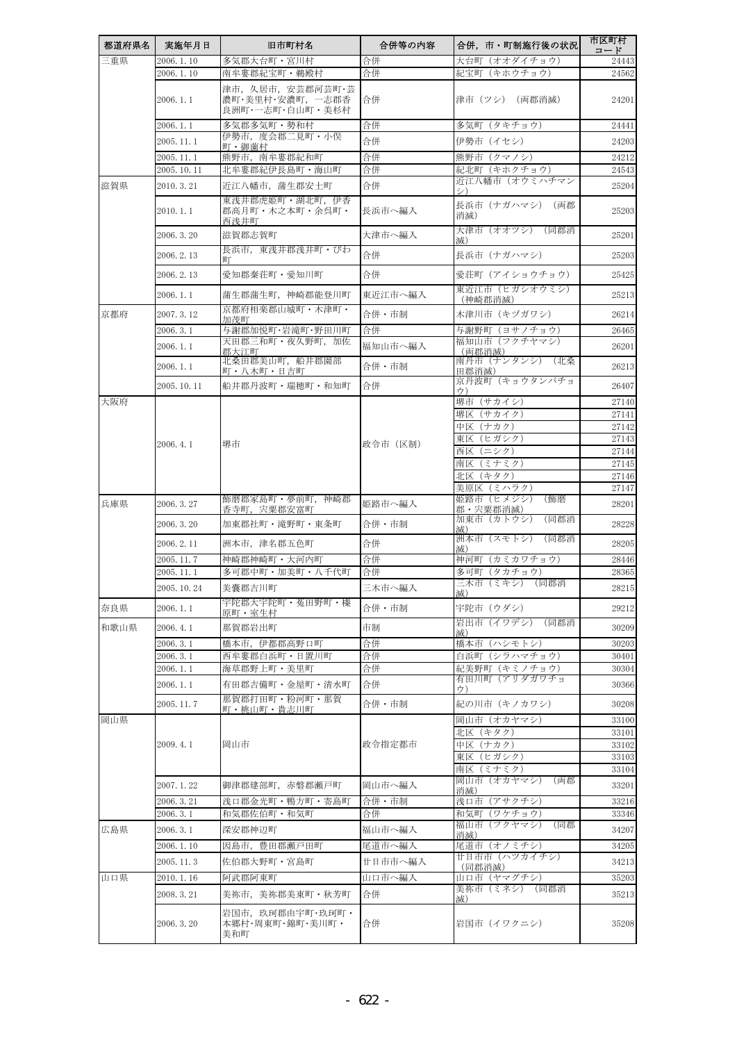| 都道府県名 | 実施年月日                  | 旧市町村名                                                    | 合併等の内容   | 合併,市・町制施行後の状況                 | 市区町村<br>コード    |
|-------|------------------------|----------------------------------------------------------|----------|-------------------------------|----------------|
| 三重県   | 2006.1.10              | 多気郡大台町・宮川村                                               | 合併       | 大台町(オオダイチョウ)                  | 24443          |
|       | 2006.1.10              | 南牟婁郡紀宝町·鵜殿村                                              | 合併       | 紀宝町(キホウチョウ)                   | 24562          |
|       | 2006.1.1               | 津市, 久居市, 安芸郡河芸町·芸<br>濃町·美里村·安濃町, 一志郡香<br>良洲町・一志町・白山町・美杉村 | 合併       | 津市(ツシ)(両郡消滅)                  | 24201          |
|       | 2006.1.1               | 多気郡多気町・勢和村                                               | 合併       | 多気町(タキチョウ)                    | 24441          |
|       | 2005.11.1              | 伊勢市,度会郡二見町・小俣<br>町·御薗村                                   | 合併       | 伊勢市(イセシ)                      | 24203          |
|       | 2005.11.1              | 熊野市,南牟婁郡紀和町                                              | 合併       | 熊野市 (クマノシ)                    | 24212          |
|       | 2005.10.11             | 北牟婁郡紀伊長島町・海山町                                            | 合併       | 紀北町(キホクチョウ)<br>近江八幡市(オウミハチマン  | 24543          |
| 滋賀県   | 2010.3.21              | 近江八幡市,蒲生郡安土町<br>東浅井郡虎姫町・湖北町、伊香                           | 合併       | シ)                            | 25204          |
|       | 2010.1.1               | 郡高月町・木之本町・余呉町・<br>西浅井町                                   | 長浜市へ編入   | 長浜市(ナガハマシ) (両郡<br>消滅)         | 25203          |
|       | 2006.3.20              | 滋賀郡志賀町                                                   | 大津市へ編入   | 大津市(オオツシ)(同郡消<br>滅)           | 25201          |
|       | 2006.2.13              | 長浜市、東浅井郡浅井町・びわ<br>町                                      | 合併       | 長浜市(ナガハマシ)                    | 25203          |
|       | 2006.2.13              | 愛知郡秦荘町・愛知川町                                              | 合併       | 愛荘町(アイショウチョウ)                 | 25425          |
|       | 2006.1.1               | 蒲生郡蒲生町,神崎郡能登川町                                           | 東近江市へ編入  | 東近江市(ヒガシオウミシ)<br>(神崎郡消滅)      | 25213          |
| 京都府   | 2007.3.12              | 京都府相楽郡山城町・木津町・<br>加茂町                                    | 合併・市制    | 木津川市(キヅガワシ)                   | 26214          |
|       | 2006.3.1               | 与謝郡加悦町·岩滝町·野田川町                                          | 合併       | 与謝野町(ヨサノチョウ)                  | 26465          |
|       | 2006.1.1               | 天田郡三和町・夜久野町,加佐<br>郡大江町                                   | 福知山市へ編入  | 福知山市(フクチヤマシ)<br>(両郡消滅)        | 26201          |
|       | 2006.1.1               | 北桑田郡美山町,船井郡園部<br>町・八木町・日吉町                               | 合併・市制    | 南丹市(ナンタンシ)(北桑<br>田郡消滅)        | 26213          |
|       | 2005.10.11             | 船井郡丹波町・瑞穂町・和知町                                           | 合併       | 京丹波町(キョウタンバチョ<br>ウ)           | 26407          |
| 大阪府   |                        |                                                          |          | 堺市 (サカイシ)                     | 27140          |
|       |                        |                                                          |          | 堺区 (サカイク)                     | 27141          |
|       |                        |                                                          |          | 中区 (ナカク)<br>東区(ヒガシク)          | 27142<br>27143 |
|       | 2006.4.1               | 堺市                                                       | 政令市(区制)  | 西区 (ニシク)                      | 27144          |
|       |                        |                                                          |          | 南区(ミナミク)                      | 27145          |
|       |                        |                                                          |          | 北区(キタク)                       | 27146          |
|       |                        | 飾磨郡家島町・夢前町,神崎郡                                           |          | 美原区(ミハラク)<br>姫路市(ヒメジシ)<br>(飾磨 | 27147          |
| 兵庫県   | 2006.3.27              | 香寺町,宍粟郡安富町                                               | 姫路市へ編入   | 郡・宍粟郡消滅)<br>加東市(カトウシ)<br>(同郡消 | 28201          |
|       | 2006. 3. 20            | 加東郡社町・滝野町・東条町                                            | 合併・市制    | 减)<br>洲本市(スモトシ)(同郡消           | 28228          |
|       | 2006.2.11              | 洲本市,津名郡五色町                                               | 合併       | 减)                            | 28205          |
|       | 2005.11.7<br>2005.11.1 | 神崎郡神崎町・大河内町<br>多可郡中町・加美町・八千代町                            | 合併<br>合併 | 神河町(カミカワチョウ)<br>多可町(タカチョウ)    | 28446<br>28365 |
|       | 2005.10.24             | 美囊郡吉川町                                                   | 三木市へ編入   | 三木市(ミキシ)(同郡消                  | 28215          |
| 奈良県   | 2006.1.1               | 宇陀郡大宇陀町・菟田野町・榛                                           | 合併・市制    | 滅)<br>宇陀市(ウダシ)                | 29212          |
|       |                        | 原町・室生村                                                   | 市制       | 岩出市(イワデシ)<br>(同郡消             |                |
| 和歌山県  | 2006. 4. 1<br>2006.3.1 | 那賀郡岩出町                                                   |          | 减)                            | 30209<br>30203 |
|       | 2006.3.1               | 橋本市,伊都郡高野口町<br>西牟婁郡白浜町・日置川町                              | 合併<br>合併 | 橋本市(ハシモトシ)<br>白浜町(シラハマチョウ)    | 30401          |
|       | 2006.1.1               | 海草郡野上町·美里町                                               | 合併       | 紀美野町(キミノチョウ)                  | 30304          |
|       | 2006.1.1               | 有田郡吉備町・金屋町・清水町                                           | 合併       | 有田川町(アリダガワチョ<br>ウ)            | 30366          |
|       | 2005.11.7              | 那賀郡打田町・粉河町・那賀<br>町・桃山町・貴志川町                              | 合併・市制    | 紀の川市 (キノカワシ)                  | 30208          |
| 岡山県   |                        |                                                          |          | 岡山市 (オカヤマシ)                   | 33100          |
|       | 2009.4.1               | 岡山市                                                      | 政令指定都市   | 北区(キタク)                       | 33101          |
|       |                        |                                                          |          | 中区(ナカク)<br>東区(ヒガシク)           | 33102<br>33103 |
|       |                        |                                                          |          | 南区(ミナミク)                      | 33104          |
|       | 2007.1.22              | 御津郡建部町,赤磐郡瀬戸町                                            | 岡山市へ編入   | 岡山市(オカヤマシ)<br>(両郡<br>消滅)      | 33201          |
|       | 2006.3.21              | 浅口郡金光町・鴨方町・寄島町                                           | 合併・市制    | 浅口市 (アサクチシ)                   | 33216          |
|       | 2006.3.1               | 和気郡佐伯町・和気町                                               | 合併       | 和気町(ワケチョウ)                    | 33346          |
| 広島県   | 2006.3.1               | 深安郡神辺町                                                   | 福山市へ編入   | 福山市(ブクヤマシ)<br>(同郡<br>消滅)      | 34207          |
|       | 2006.1.10              | 因島市,豊田郡瀬戸田町                                              | 尾道市へ編入   | 尾道市(オノミチシ)<br>廿日市市(ハツカイチシ)    | 34205          |
|       | 2005.11.3              | 佐伯郡大野町・宮島町                                               | 廿日市市へ編入  | (同郡消滅)                        | 34213          |
| 山口県   | 2010.1.16              | 阿武郡阿東町                                                   | 山口市へ編入   | 山口市 (ヤマグチシ)<br>美祢市(ミネシ)(同郡消   | 35203          |
|       | 2008.3.21              | 美祢市,美祢郡美東町・秋芳町                                           | 合併       | 减)                            | 35213          |
|       | 2006.3.20              | 岩国市, 玖珂郡由宇町·玖珂町·<br>本郷村・周東町・錦町・美川町・<br>美和町               | 合併       | 岩国市(イワクニシ)                    | 35208          |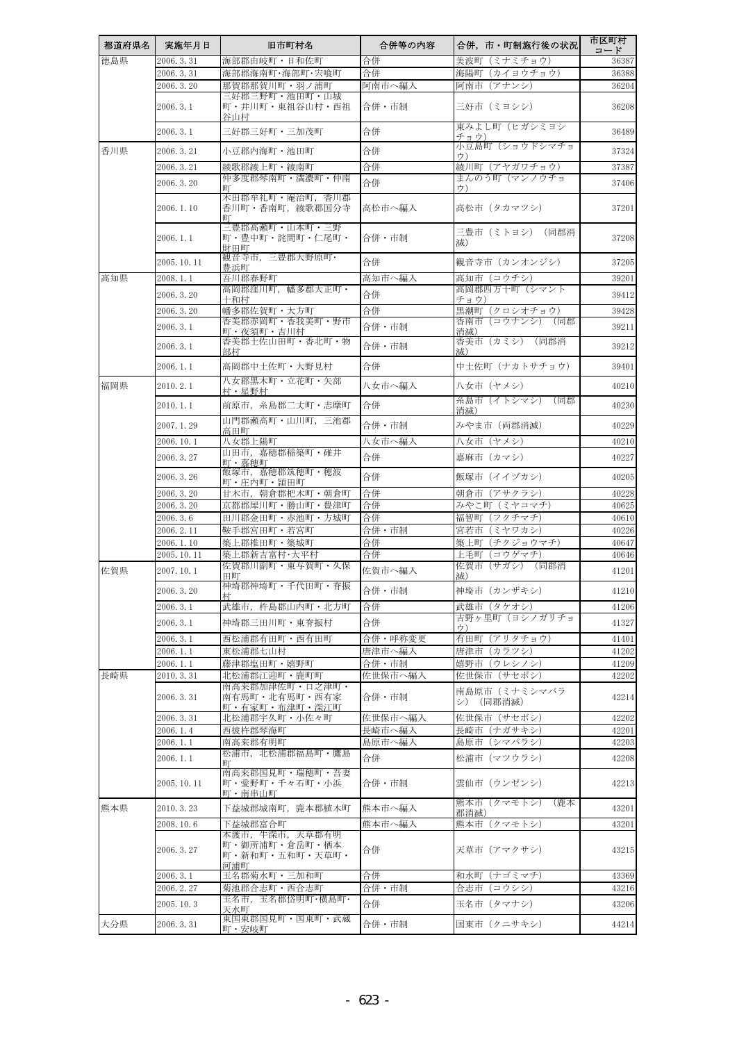| 都道府県名 | 実施年月日                 | 旧市町村名                                                   | 合併等の内容           | 合併,市・町制施行後の状況                 | 市区町村<br>コード    |
|-------|-----------------------|---------------------------------------------------------|------------------|-------------------------------|----------------|
| 徳島県   | 2006.3.31             | 海部郡由岐町・日和佐町                                             | 合併               | 美波町<br>(ミナミチョウ)               | 36387          |
|       | 2006.3.31             | 海部郡海南町・海部町・宍喰町                                          | 合併               | 海陽町(カイヨウチョウ)                  | 36388          |
|       | 2006.3.20             | 那賀郡那賀川町・羽ノ浦町                                            | 阿南市へ編入           | 阿南市(アナンシ)                     | 36204          |
|       | 2006.3.1              | 三好郡三野町・池田町・山城<br>町・井川町・東祖谷山村・西祖<br>谷山村                  | 合併・市制            | 三好市(ミヨシシ)                     | 36208          |
|       | 2006.3.1              | 三好郡三好町・三加茂町                                             | 合併               | 東みよし町(ヒガシミヨシ<br>チョウ)          | 36489          |
| 香川県   | 2006.3.21             | 小豆郡内海町・池田町                                              | 合併               | 小豆島町(ショウドシマチョ<br>ウ)           | 37324          |
|       | 2006. 3. 21           | 綾歌郡綾上町・綾南町                                              | 合併               | 綾川町(アヤガワチョウ)                  | 37387          |
|       | 2006, 3, 20           | 仲多度郡琴南町・満濃町・仲南                                          | 合併               | まんのう町(マンノウチョ                  | 37406          |
|       |                       | ĦТ<br>木田郡牟礼町·庵治町, 香川郡                                   |                  | ウ)                            |                |
|       | 2006.1.10             | 香川町・香南町,綾歌郡国分寺<br>ШT                                    | 高松市へ編入           | 高松市(タカマツシ)                    | 37201          |
|       | 2006.1.1              | 三豊郡高瀬町・山本町・三野<br>町・豊中町・詫間町・仁尾町・<br>財田町                  | 合併・市制            | 三豊市(ミトヨシ)(同郡消<br>减)           | 37208          |
|       | 2005.10.11            | 観音寺市、三豊郡大野原町・<br>豊浜町                                    | 合併               | 観音寺市(カンオンジシ)                  | 37205          |
| 高知県   | 2008.1.1              | 吾川郡春野町                                                  | 高知市へ編入           | 高知市(コウチシ)                     | 39201          |
|       | 2006.3.20             | 高岡郡窪川町, 幡多郡大正町·<br>十和村                                  | 合併               | 高岡郡四万十町(シマント<br>チョウ)          | 39412          |
|       | 2006.3.20             | 幡多郡佐賀町·大方町                                              | 合併               | 黒潮町(クロシオチョウ)                  | 39428          |
|       | 2006.3.1              | 香美郡赤岡町・香我美町・野市                                          | 合併・市制            | 香南市(コウナンシ)<br>(同郡             | 39211          |
|       | 2006.3.1              | 町・夜須町・吉川村<br>香美郡土佐山田町・香北町・物                             | 合併・市制            | 消滅)<br>香美市(カミシ)(同郡消           | 39212          |
|       |                       | 部村                                                      |                  | 减)                            |                |
|       | 2006.1.1              | 高岡郡中土佐町・大野見村<br>八女郡黒木町・立花町・矢部                           | 合併               | 中土佐町 (ナカトサチョウ)                | 39401          |
| 福岡県   | 2010.2.1              | 村·星野村                                                   | 八女市へ編入           | 八女市(ヤメシ)<br>糸島市(イトシマシ)<br>(同郡 | 40210          |
|       | 2010.1.1              | 前原市, 糸島郡二丈町·志摩町<br>山門郡瀬高町・山川町、三池郡                       | 合併               | 消滅)                           | 40230          |
|       | 2007.1.29             | 高田町                                                     | 合併・市制            | みやま市 (両郡消滅)                   | 40229          |
|       | 2006.10.1             | 八女郡上陽町<br>山田市, 嘉穂郡稲築町 · 碓井                              | 八女市へ編入           | 八女市(ヤメシ)                      | 40210          |
|       | 2006.3.27             | 町・嘉穂町                                                   | 合併               | 嘉麻市(カマシ)                      | 40227          |
|       | 2006.3.26             | 飯塚市,嘉穂郡筑穂町・穂波<br>町・庄内町・頴田町                              | 合併               | 飯塚市(イイヅカシ)                    | 40205          |
|       | 2006.3.20             | 甘木市,朝倉郡杷木町・朝倉町                                          | 合併               | 朝倉市(アサクラシ)                    | 40228          |
|       | 2006.3.20<br>2006.3.6 | 京都郡犀川町・勝山町・豊津町<br>田川郡金田町·赤池町·方城町                        | 合併<br>合併         | みやこ町(ミヤコマチ)<br>福智町(フクチマチ)     | 40625<br>40610 |
|       | 2006.2.11             | 鞍手郡宮田町・若宮町                                              | 合併・市制            | 宮若市(ミヤワカシ)                    | 40226          |
|       | 2006.1.10             | 築上郡椎田町・築城町                                              | 合併               | 築上町(チクジョウマチ)                  | 40647          |
|       | 2005.10.11            | 築上郡新吉富村·大平村                                             | 合併               | 上毛町(コウゲマチ)                    | 40646          |
| 佐賀県   | 2007.10.1             | 佐賀郡川副町・東与賀町・久保<br>田町                                    | 佐賀市へ編入           | 佐賀市(サガシ)(同郡消<br>减)            | 41201          |
|       | 2006.3.20             | 神埼郡神埼町・千代田町・脊振<br>村                                     | 合併・市制            | 神埼市 (カンザキシ)                   | 41210          |
|       | 2006.3.1              | 武雄市,杵島郡山内町・北方町                                          | 合併               | 武雄市(タケオシ)                     | 41206          |
|       | 2006.3.1              | 神埼郡三田川町・東脊振村                                            | 合併               | 吉野ヶ里町(ヨシノガリチョ<br>ウ)           | 41327          |
|       | 2006.3.1              | 西松浦郡有田町・西有田町                                            | 合併・呼称変更          | 有田町(アリタチョウ)                   | 41401          |
|       | 2006.1.1              | 東松浦郡七山村                                                 | 唐津市へ編入           | 唐津市(カラツシ)                     | 41202          |
|       | 2006.1.1              | 藤津郡塩田町・嬉野町                                              | 合併・市制<br>佐世保市へ編入 | 嬉野市(ウレシノシ)<br>佐世保市(サセボシ)      | 41209          |
| 長崎県   | 2010.3.31             | 北松浦郡江迎町・鹿町町<br>南高来郡加津佐町・口之津町・                           |                  | 南島原市(ミナミシマバラ                  | 42202          |
|       | 2006. 3.31            | 南有馬町・北有馬町・西有家<br>町・有家町・布津町・深江町                          | 合併・市制            | シ) (同郡消滅)                     | 42214          |
|       | 2006. 3. 31           | 北松浦郡宇久町・小佐々町                                            | 佐世保市へ編入          | 佐世保市(サセボシ)                    | 42202          |
|       | 2006.1.4              | 西彼杵郡琴海町                                                 | 長崎市へ編入           | 長崎市(ナガサキシ)                    | 42201          |
|       | 2006.1.1              | 南高来郡有明町<br>松浦市,北松浦郡福島町・鷹島                               | 島原市へ編入           | 島原市(シマバラシ)                    | 42203          |
|       | 2006.1.1              | 町                                                       | 合併               | 松浦市(マツウラシ)                    | 42208          |
|       | 2005.10.11            | 南高来郡国見町・瑞穂町・吾妻<br>町・愛野町・千々石町・小浜<br>町・南串山町               | 合併・市制            | 雲仙市(ウンゼンシ)                    | 42213          |
| 熊本県   | 2010.3.23             | 下益城郡城南町,鹿本郡植木町                                          | 熊本市へ編入           | 熊本市(クマモトシ)<br>(鹿本<br>郡消滅)     | 43201          |
|       | 2008.10.6             | 下益城郡富合町                                                 | 熊本市へ編入           | 熊本市(クマモトシ)                    | 43201          |
|       | 2006. 3. 27           | 本渡市,牛深市,天草郡有明<br>町・御所浦町・倉岳町・栖本<br>町・新和町・五和町・天草町・<br>河浦町 | 合併               | 天草市(アマクサシ)                    | 43215          |
|       | 2006.3.1              | 玉名郡菊水町・三加和町                                             | 合併               | 和水町(ナゴミマチ)                    | 43369          |
|       | 2006. 2. 27           | 菊池郡合志町·西合志町                                             | 合併・市制            | 合志市(コウシシ)                     | 43216          |
|       | 2005.10.3             | 玉名市,玉名郡岱明町・横島町・<br>天水町                                  | 合併               | 玉名市(タマナシ)                     | 43206          |
| 大分県   | 2006.3.31             | 東国東郡国見町・国東町・武蔵<br>町・安岐町                                 | 合併・市制            | 国東市(クニサキシ)                    | 44214          |